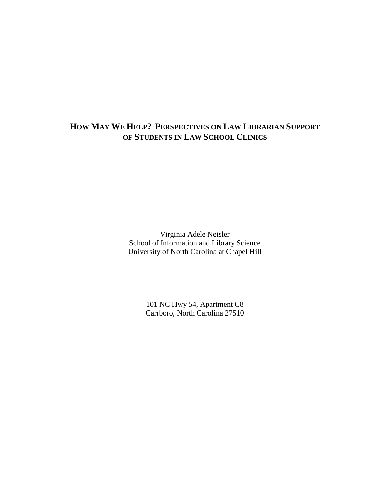# **HOW MAY WE HELP? PERSPECTIVES ON LAW LIBRARIAN SUPPORT OF STUDENTS IN LAW SCHOOL CLINICS**

Virginia Adele Neisler School of Information and Library Science University of North Carolina at Chapel Hill

> 101 NC Hwy 54, Apartment C8 Carrboro, North Carolina 27510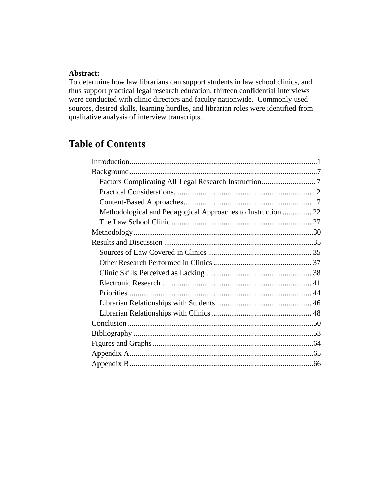## **Abstract:**

To determine how law librarians can support students in law school clinics, and thus support practical legal research education, thirteen confidential interviews were conducted with clinic directors and faculty nationwide. Commonly used sources, desired skills, learning hurdles, and librarian roles were identified from qualitative analysis of interview transcripts.

# **Table of Contents**

| Methodological and Pedagogical Approaches to Instruction  22 |  |
|--------------------------------------------------------------|--|
|                                                              |  |
|                                                              |  |
|                                                              |  |
|                                                              |  |
|                                                              |  |
|                                                              |  |
|                                                              |  |
|                                                              |  |
|                                                              |  |
|                                                              |  |
|                                                              |  |
|                                                              |  |
|                                                              |  |
|                                                              |  |
|                                                              |  |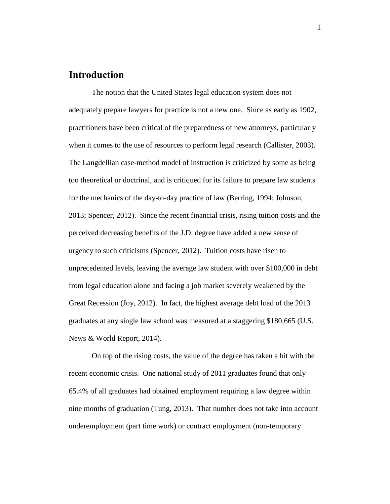## <span id="page-2-0"></span>**Introduction**

The notion that the United States legal education system does not adequately prepare lawyers for practice is not a new one. Since as early as 1902, practitioners have been critical of the preparedness of new attorneys, particularly when it comes to the use of resources to perform legal research (Callister, 2003). The Langdellian case-method model of instruction is criticized by some as being too theoretical or doctrinal, and is critiqued for its failure to prepare law students for the mechanics of the day-to-day practice of law (Berring, 1994; Johnson, 2013; Spencer, 2012). Since the recent financial crisis, rising tuition costs and the perceived decreasing benefits of the J.D. degree have added a new sense of urgency to such criticisms (Spencer, 2012). Tuition costs have risen to unprecedented levels, leaving the average law student with over \$100,000 in debt from legal education alone and facing a job market severely weakened by the Great Recession (Joy, 2012). In fact, the highest average debt load of the 2013 graduates at any single law school was measured at a staggering \$180,665 (U.S. News & World Report, 2014).

On top of the rising costs, the value of the degree has taken a hit with the recent economic crisis. One national study of 2011 graduates found that only 65.4% of all graduates had obtained employment requiring a law degree within nine months of graduation (Tung, 2013). That number does not take into account underemployment (part time work) or contract employment (non-temporary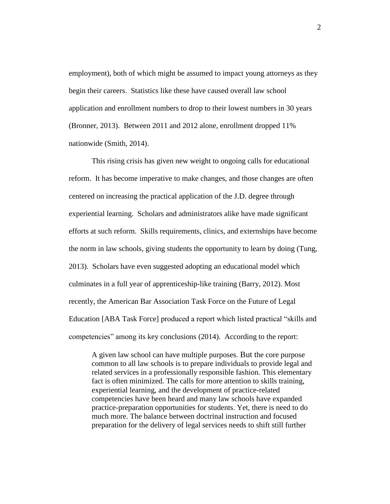employment), both of which might be assumed to impact young attorneys as they begin their careers. Statistics like these have caused overall law school application and enrollment numbers to drop to their lowest numbers in 30 years (Bronner, 2013). Between 2011 and 2012 alone, enrollment dropped 11% nationwide (Smith, 2014).

This rising crisis has given new weight to ongoing calls for educational reform. It has become imperative to make changes, and those changes are often centered on increasing the practical application of the J.D. degree through experiential learning. Scholars and administrators alike have made significant efforts at such reform. Skills requirements, clinics, and externships have become the norm in law schools, giving students the opportunity to learn by doing (Tung, 2013). Scholars have even suggested adopting an educational model which culminates in a full year of apprenticeship-like training (Barry, 2012). Most recently, the American Bar Association Task Force on the Future of Legal Education [ABA Task Force] produced a report which listed practical "skills and competencies" among its key conclusions (2014). According to the report:

A given law school can have multiple purposes. But the core purpose common to all law schools is to prepare individuals to provide legal and related services in a professionally responsible fashion. This elementary fact is often minimized. The calls for more attention to skills training, experiential learning, and the development of practice-related competencies have been heard and many law schools have expanded practice-preparation opportunities for students. Yet, there is need to do much more. The balance between doctrinal instruction and focused preparation for the delivery of legal services needs to shift still further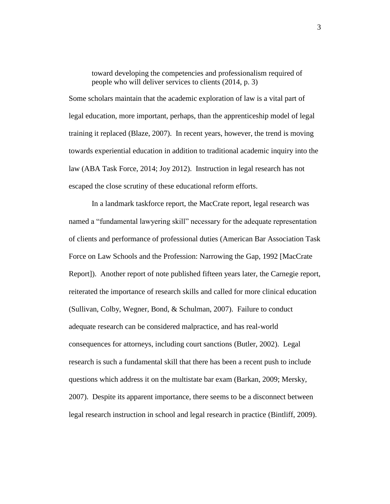toward developing the competencies and professionalism required of people who will deliver services to clients (2014, p. 3)

Some scholars maintain that the academic exploration of law is a vital part of legal education, more important, perhaps, than the apprenticeship model of legal training it replaced (Blaze, 2007). In recent years, however, the trend is moving towards experiential education in addition to traditional academic inquiry into the law (ABA Task Force, 2014; Joy 2012). Instruction in legal research has not escaped the close scrutiny of these educational reform efforts.

In a landmark taskforce report, the MacCrate report, legal research was named a "fundamental lawyering skill" necessary for the adequate representation of clients and performance of professional duties (American Bar Association Task Force on Law Schools and the Profession: Narrowing the Gap, 1992 [MacCrate Report]). Another report of note published fifteen years later, the Carnegie report, reiterated the importance of research skills and called for more clinical education (Sullivan, Colby, Wegner, Bond, & Schulman, 2007). Failure to conduct adequate research can be considered malpractice, and has real-world consequences for attorneys, including court sanctions (Butler, 2002). Legal research is such a fundamental skill that there has been a recent push to include questions which address it on the multistate bar exam (Barkan, 2009; Mersky, 2007). Despite its apparent importance, there seems to be a disconnect between legal research instruction in school and legal research in practice (Bintliff, 2009).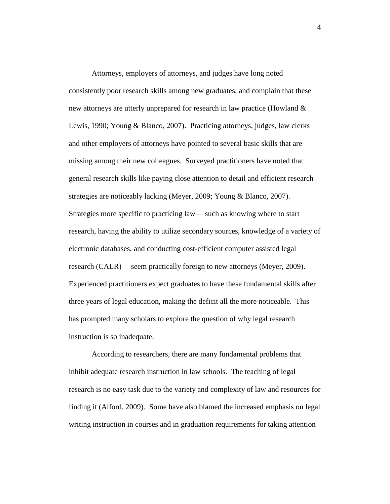Attorneys, employers of attorneys, and judges have long noted consistently poor research skills among new graduates, and complain that these new attorneys are utterly unprepared for research in law practice (Howland & Lewis, 1990; Young & Blanco, 2007). Practicing attorneys, judges, law clerks and other employers of attorneys have pointed to several basic skills that are missing among their new colleagues. Surveyed practitioners have noted that general research skills like paying close attention to detail and efficient research strategies are noticeably lacking (Meyer, 2009; Young & Blanco, 2007). Strategies more specific to practicing law— such as knowing where to start research, having the ability to utilize secondary sources, knowledge of a variety of electronic databases, and conducting cost-efficient computer assisted legal research (CALR)— seem practically foreign to new attorneys (Meyer, 2009). Experienced practitioners expect graduates to have these fundamental skills after three years of legal education, making the deficit all the more noticeable. This has prompted many scholars to explore the question of why legal research instruction is so inadequate.

According to researchers, there are many fundamental problems that inhibit adequate research instruction in law schools. The teaching of legal research is no easy task due to the variety and complexity of law and resources for finding it (Alford, 2009). Some have also blamed the increased emphasis on legal writing instruction in courses and in graduation requirements for taking attention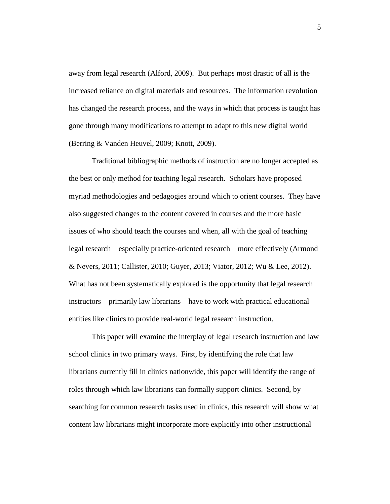away from legal research (Alford, 2009). But perhaps most drastic of all is the increased reliance on digital materials and resources. The information revolution has changed the research process, and the ways in which that process is taught has gone through many modifications to attempt to adapt to this new digital world (Berring & Vanden Heuvel, 2009; Knott, 2009).

Traditional bibliographic methods of instruction are no longer accepted as the best or only method for teaching legal research. Scholars have proposed myriad methodologies and pedagogies around which to orient courses. They have also suggested changes to the content covered in courses and the more basic issues of who should teach the courses and when, all with the goal of teaching legal research—especially practice-oriented research—more effectively (Armond & Nevers, 2011; Callister, 2010; Guyer, 2013; Viator, 2012; Wu & Lee, 2012). What has not been systematically explored is the opportunity that legal research instructors—primarily law librarians—have to work with practical educational entities like clinics to provide real-world legal research instruction.

This paper will examine the interplay of legal research instruction and law school clinics in two primary ways. First, by identifying the role that law librarians currently fill in clinics nationwide, this paper will identify the range of roles through which law librarians can formally support clinics. Second, by searching for common research tasks used in clinics, this research will show what content law librarians might incorporate more explicitly into other instructional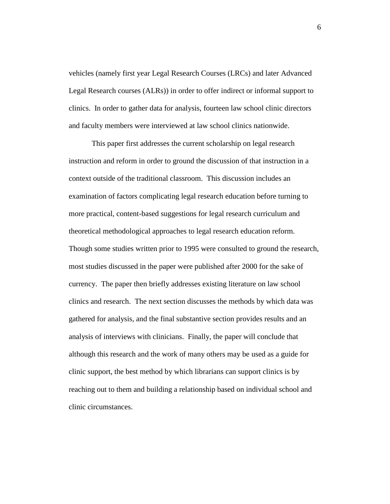vehicles (namely first year Legal Research Courses (LRCs) and later Advanced Legal Research courses (ALRs)) in order to offer indirect or informal support to clinics. In order to gather data for analysis, fourteen law school clinic directors and faculty members were interviewed at law school clinics nationwide.

This paper first addresses the current scholarship on legal research instruction and reform in order to ground the discussion of that instruction in a context outside of the traditional classroom. This discussion includes an examination of factors complicating legal research education before turning to more practical, content-based suggestions for legal research curriculum and theoretical methodological approaches to legal research education reform. Though some studies written prior to 1995 were consulted to ground the research, most studies discussed in the paper were published after 2000 for the sake of currency. The paper then briefly addresses existing literature on law school clinics and research. The next section discusses the methods by which data was gathered for analysis, and the final substantive section provides results and an analysis of interviews with clinicians. Finally, the paper will conclude that although this research and the work of many others may be used as a guide for clinic support, the best method by which librarians can support clinics is by reaching out to them and building a relationship based on individual school and clinic circumstances.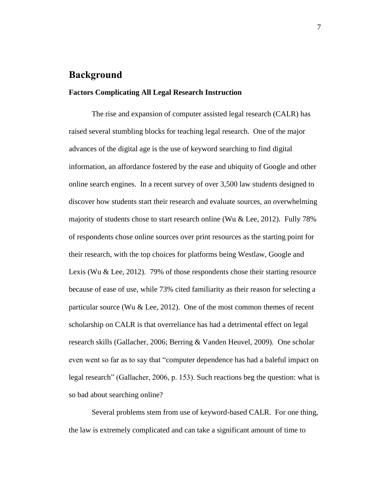# <span id="page-8-0"></span>**Background**

### <span id="page-8-1"></span>**Factors Complicating All Legal Research Instruction**

The rise and expansion of computer assisted legal research (CALR) has raised several stumbling blocks for teaching legal research. One of the major advances of the digital age is the use of keyword searching to find digital information, an affordance fostered by the ease and ubiquity of Google and other online search engines. In a recent survey of over 3,500 law students designed to discover how students start their research and evaluate sources, an overwhelming majority of students chose to start research online (Wu & Lee, 2012). Fully 78% of respondents chose online sources over print resources as the starting point for their research, with the top choices for platforms being Westlaw, Google and Lexis (Wu & Lee, 2012). 79% of those respondents chose their starting resource because of ease of use, while 73% cited familiarity as their reason for selecting a particular source (Wu  $&$  Lee, 2012). One of the most common themes of recent scholarship on CALR is that overreliance has had a detrimental effect on legal research skills (Gallacher, 2006; Berring & Vanden Heuvel, 2009). One scholar even went so far as to say that "computer dependence has had a baleful impact on legal research" (Gallacher, 2006, p. 153). Such reactions beg the question: what is so bad about searching online?

Several problems stem from use of keyword-based CALR. For one thing, the law is extremely complicated and can take a significant amount of time to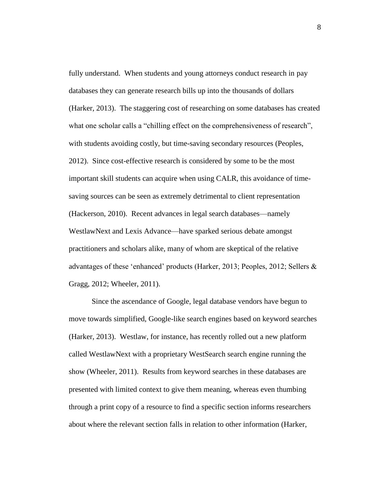fully understand. When students and young attorneys conduct research in pay databases they can generate research bills up into the thousands of dollars (Harker, 2013). The staggering cost of researching on some databases has created what one scholar calls a "chilling effect on the comprehensiveness of research", with students avoiding costly, but time-saving secondary resources (Peoples, 2012). Since cost-effective research is considered by some to be the most important skill students can acquire when using CALR, this avoidance of timesaving sources can be seen as extremely detrimental to client representation (Hackerson, 2010). Recent advances in legal search databases—namely WestlawNext and Lexis Advance—have sparked serious debate amongst practitioners and scholars alike, many of whom are skeptical of the relative advantages of these 'enhanced' products (Harker, 2013; Peoples, 2012; Sellers & Gragg, 2012; Wheeler, 2011).

Since the ascendance of Google, legal database vendors have begun to move towards simplified, Google-like search engines based on keyword searches (Harker, 2013). Westlaw, for instance, has recently rolled out a new platform called WestlawNext with a proprietary WestSearch search engine running the show (Wheeler, 2011). Results from keyword searches in these databases are presented with limited context to give them meaning, whereas even thumbing through a print copy of a resource to find a specific section informs researchers about where the relevant section falls in relation to other information (Harker,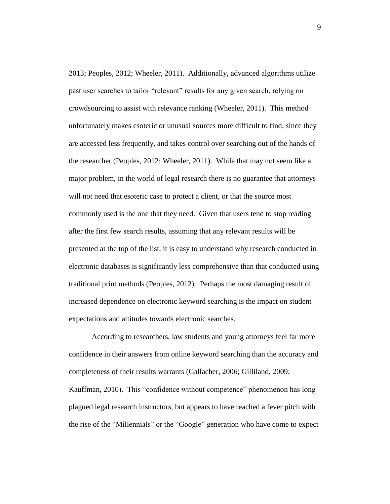2013; Peoples, 2012; Wheeler, 2011). Additionally, advanced algorithms utilize past user searches to tailor "relevant" results for any given search, relying on crowdsourcing to assist with relevance ranking (Wheeler, 2011). This method unfortunately makes esoteric or unusual sources more difficult to find, since they are accessed less frequently, and takes control over searching out of the hands of the researcher (Peoples, 2012; Wheeler, 2011). While that may not seem like a major problem, in the world of legal research there is no guarantee that attorneys will not need that esoteric case to protect a client, or that the source most commonly used is the one that they need. Given that users tend to stop reading after the first few search results, assuming that any relevant results will be presented at the top of the list, it is easy to understand why research conducted in electronic databases is significantly less comprehensive than that conducted using traditional print methods (Peoples, 2012). Perhaps the most damaging result of increased dependence on electronic keyword searching is the impact on student expectations and attitudes towards electronic searches.

According to researchers, law students and young attorneys feel far more confidence in their answers from online keyword searching than the accuracy and completeness of their results warrants (Gallacher, 2006; Gilliland, 2009; Kauffman, 2010). This "confidence without competence" phenomenon has long plagued legal research instructors, but appears to have reached a fever pitch with the rise of the "Millennials" or the "Google" generation who have come to expect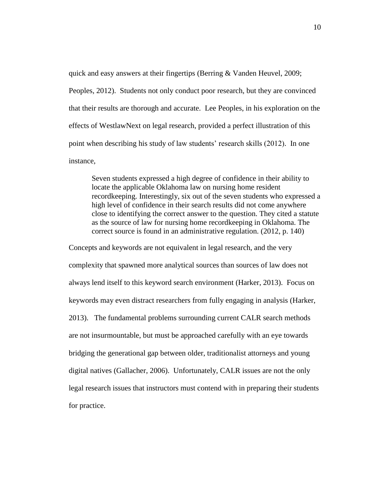quick and easy answers at their fingertips (Berring & Vanden Heuvel, 2009; Peoples, 2012). Students not only conduct poor research, but they are convinced that their results are thorough and accurate. Lee Peoples, in his exploration on the effects of WestlawNext on legal research, provided a perfect illustration of this point when describing his study of law students' research skills (2012). In one instance,

Seven students expressed a high degree of confidence in their ability to locate the applicable Oklahoma law on nursing home resident recordkeeping. Interestingly, six out of the seven students who expressed a high level of confidence in their search results did not come anywhere close to identifying the correct answer to the question. They cited a statute as the source of law for nursing home recordkeeping in Oklahoma. The correct source is found in an administrative regulation. (2012, p. 140)

Concepts and keywords are not equivalent in legal research, and the very complexity that spawned more analytical sources than sources of law does not always lend itself to this keyword search environment (Harker, 2013). Focus on keywords may even distract researchers from fully engaging in analysis (Harker, 2013). The fundamental problems surrounding current CALR search methods are not insurmountable, but must be approached carefully with an eye towards bridging the generational gap between older, traditionalist attorneys and young digital natives (Gallacher, 2006). Unfortunately, CALR issues are not the only legal research issues that instructors must contend with in preparing their students for practice.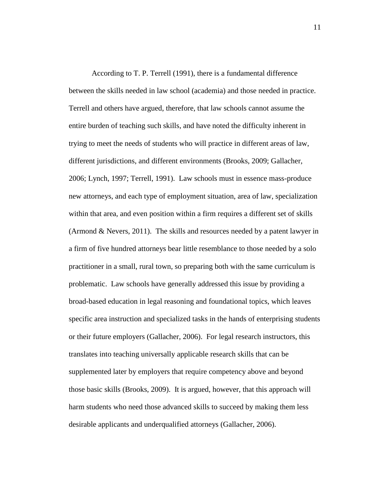According to T. P. Terrell (1991), there is a fundamental difference between the skills needed in law school (academia) and those needed in practice. Terrell and others have argued, therefore, that law schools cannot assume the entire burden of teaching such skills, and have noted the difficulty inherent in trying to meet the needs of students who will practice in different areas of law, different jurisdictions, and different environments (Brooks, 2009; Gallacher, 2006; Lynch, 1997; Terrell, 1991). Law schools must in essence mass-produce new attorneys, and each type of employment situation, area of law, specialization within that area, and even position within a firm requires a different set of skills (Armond & Nevers, 2011). The skills and resources needed by a patent lawyer in a firm of five hundred attorneys bear little resemblance to those needed by a solo practitioner in a small, rural town, so preparing both with the same curriculum is problematic. Law schools have generally addressed this issue by providing a broad-based education in legal reasoning and foundational topics, which leaves specific area instruction and specialized tasks in the hands of enterprising students or their future employers (Gallacher, 2006). For legal research instructors, this translates into teaching universally applicable research skills that can be supplemented later by employers that require competency above and beyond those basic skills (Brooks, 2009). It is argued, however, that this approach will harm students who need those advanced skills to succeed by making them less desirable applicants and underqualified attorneys (Gallacher, 2006).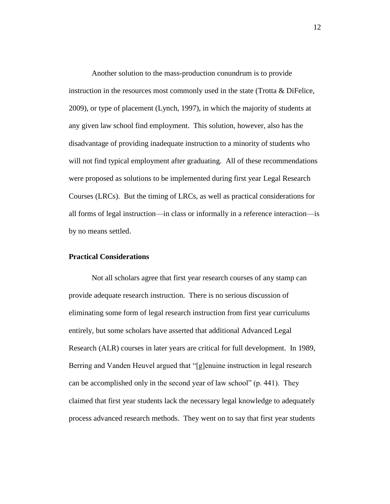Another solution to the mass-production conundrum is to provide instruction in the resources most commonly used in the state (Trotta & DiFelice, 2009), or type of placement (Lynch, 1997), in which the majority of students at any given law school find employment. This solution, however, also has the disadvantage of providing inadequate instruction to a minority of students who will not find typical employment after graduating. All of these recommendations were proposed as solutions to be implemented during first year Legal Research Courses (LRCs). But the timing of LRCs, as well as practical considerations for all forms of legal instruction—in class or informally in a reference interaction—is by no means settled.

### <span id="page-13-0"></span>**Practical Considerations**

Not all scholars agree that first year research courses of any stamp can provide adequate research instruction. There is no serious discussion of eliminating some form of legal research instruction from first year curriculums entirely, but some scholars have asserted that additional Advanced Legal Research (ALR) courses in later years are critical for full development. In 1989, Berring and Vanden Heuvel argued that "[g]enuine instruction in legal research can be accomplished only in the second year of law school" (p. 441). They claimed that first year students lack the necessary legal knowledge to adequately process advanced research methods. They went on to say that first year students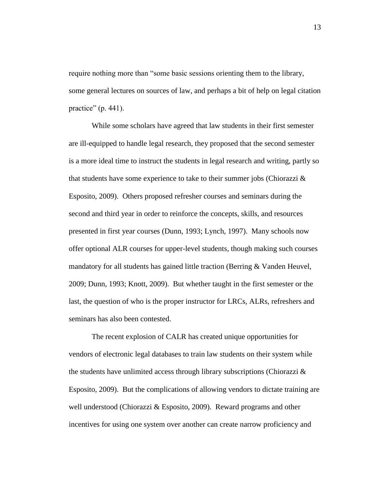require nothing more than "some basic sessions orienting them to the library, some general lectures on sources of law, and perhaps a bit of help on legal citation practice"  $(p. 441)$ .

While some scholars have agreed that law students in their first semester are ill-equipped to handle legal research, they proposed that the second semester is a more ideal time to instruct the students in legal research and writing, partly so that students have some experience to take to their summer jobs (Chiorazzi  $\&$ Esposito, 2009). Others proposed refresher courses and seminars during the second and third year in order to reinforce the concepts, skills, and resources presented in first year courses (Dunn, 1993; Lynch, 1997). Many schools now offer optional ALR courses for upper-level students, though making such courses mandatory for all students has gained little traction (Berring & Vanden Heuvel, 2009; Dunn, 1993; Knott, 2009). But whether taught in the first semester or the last, the question of who is the proper instructor for LRCs, ALRs, refreshers and seminars has also been contested.

The recent explosion of CALR has created unique opportunities for vendors of electronic legal databases to train law students on their system while the students have unlimited access through library subscriptions (Chiorazzi  $\&$ Esposito, 2009). But the complications of allowing vendors to dictate training are well understood (Chiorazzi & Esposito, 2009). Reward programs and other incentives for using one system over another can create narrow proficiency and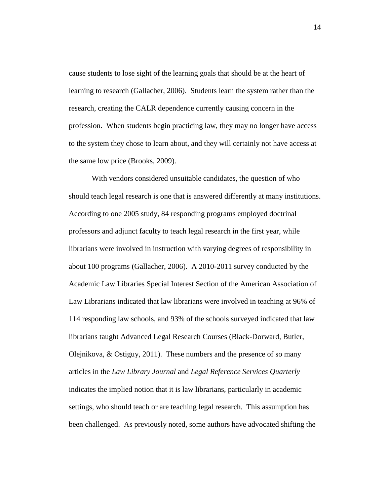cause students to lose sight of the learning goals that should be at the heart of learning to research (Gallacher, 2006). Students learn the system rather than the research, creating the CALR dependence currently causing concern in the profession. When students begin practicing law, they may no longer have access to the system they chose to learn about, and they will certainly not have access at the same low price (Brooks, 2009).

With vendors considered unsuitable candidates, the question of who should teach legal research is one that is answered differently at many institutions. According to one 2005 study, 84 responding programs employed doctrinal professors and adjunct faculty to teach legal research in the first year, while librarians were involved in instruction with varying degrees of responsibility in about 100 programs (Gallacher, 2006). A 2010-2011 survey conducted by the Academic Law Libraries Special Interest Section of the American Association of Law Librarians indicated that law librarians were involved in teaching at 96% of 114 responding law schools, and 93% of the schools surveyed indicated that law librarians taught Advanced Legal Research Courses (Black-Dorward, Butler, Olejnikova, & Ostiguy, 2011). These numbers and the presence of so many articles in the *Law Library Journal* and *Legal Reference Services Quarterly* indicates the implied notion that it is law librarians, particularly in academic settings, who should teach or are teaching legal research. This assumption has been challenged. As previously noted, some authors have advocated shifting the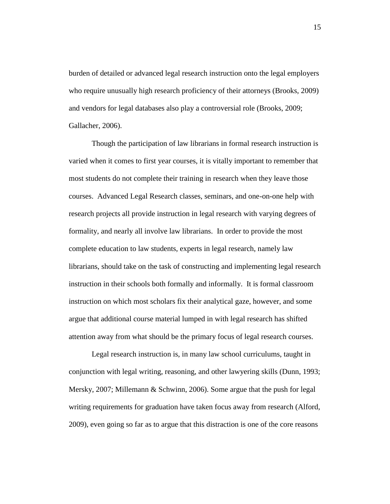burden of detailed or advanced legal research instruction onto the legal employers who require unusually high research proficiency of their attorneys (Brooks, 2009) and vendors for legal databases also play a controversial role (Brooks, 2009; Gallacher, 2006).

Though the participation of law librarians in formal research instruction is varied when it comes to first year courses, it is vitally important to remember that most students do not complete their training in research when they leave those courses. Advanced Legal Research classes, seminars, and one-on-one help with research projects all provide instruction in legal research with varying degrees of formality, and nearly all involve law librarians. In order to provide the most complete education to law students, experts in legal research, namely law librarians, should take on the task of constructing and implementing legal research instruction in their schools both formally and informally. It is formal classroom instruction on which most scholars fix their analytical gaze, however, and some argue that additional course material lumped in with legal research has shifted attention away from what should be the primary focus of legal research courses.

Legal research instruction is, in many law school curriculums, taught in conjunction with legal writing, reasoning, and other lawyering skills (Dunn, 1993; Mersky, 2007; Millemann & Schwinn, 2006). Some argue that the push for legal writing requirements for graduation have taken focus away from research (Alford, 2009), even going so far as to argue that this distraction is one of the core reasons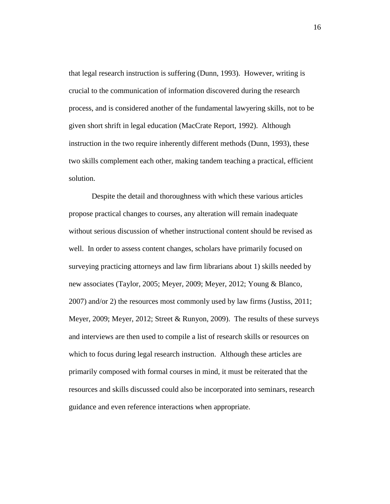that legal research instruction is suffering (Dunn, 1993). However, writing is crucial to the communication of information discovered during the research process, and is considered another of the fundamental lawyering skills, not to be given short shrift in legal education (MacCrate Report, 1992). Although instruction in the two require inherently different methods (Dunn, 1993), these two skills complement each other, making tandem teaching a practical, efficient solution.

Despite the detail and thoroughness with which these various articles propose practical changes to courses, any alteration will remain inadequate without serious discussion of whether instructional content should be revised as well. In order to assess content changes, scholars have primarily focused on surveying practicing attorneys and law firm librarians about 1) skills needed by new associates (Taylor, 2005; Meyer, 2009; Meyer, 2012; Young & Blanco, 2007) and/or 2) the resources most commonly used by law firms (Justiss, 2011; Meyer, 2009; Meyer, 2012; Street & Runyon, 2009). The results of these surveys and interviews are then used to compile a list of research skills or resources on which to focus during legal research instruction. Although these articles are primarily composed with formal courses in mind, it must be reiterated that the resources and skills discussed could also be incorporated into seminars, research guidance and even reference interactions when appropriate.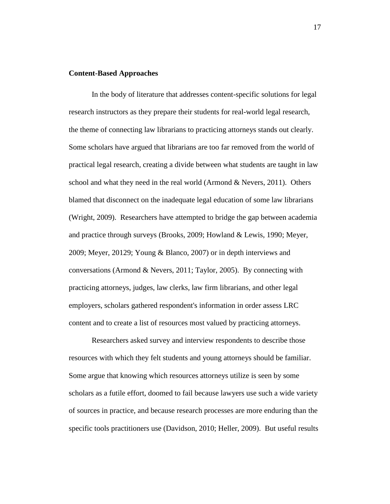## <span id="page-18-0"></span>**Content-Based Approaches**

In the body of literature that addresses content-specific solutions for legal research instructors as they prepare their students for real-world legal research, the theme of connecting law librarians to practicing attorneys stands out clearly. Some scholars have argued that librarians are too far removed from the world of practical legal research, creating a divide between what students are taught in law school and what they need in the real world (Armond & Nevers, 2011). Others blamed that disconnect on the inadequate legal education of some law librarians (Wright, 2009). Researchers have attempted to bridge the gap between academia and practice through surveys (Brooks, 2009; Howland & Lewis, 1990; Meyer, 2009; Meyer, 20129; Young & Blanco, 2007) or in depth interviews and conversations (Armond & Nevers, 2011; Taylor, 2005). By connecting with practicing attorneys, judges, law clerks, law firm librarians, and other legal employers, scholars gathered respondent's information in order assess LRC content and to create a list of resources most valued by practicing attorneys.

Researchers asked survey and interview respondents to describe those resources with which they felt students and young attorneys should be familiar. Some argue that knowing which resources attorneys utilize is seen by some scholars as a futile effort, doomed to fail because lawyers use such a wide variety of sources in practice, and because research processes are more enduring than the specific tools practitioners use (Davidson, 2010; Heller, 2009). But useful results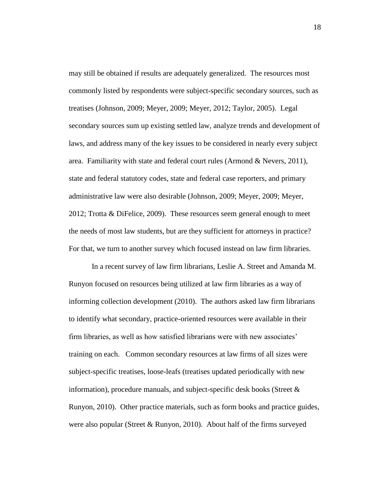may still be obtained if results are adequately generalized. The resources most commonly listed by respondents were subject-specific secondary sources, such as treatises (Johnson, 2009; Meyer, 2009; Meyer, 2012; Taylor, 2005). Legal secondary sources sum up existing settled law, analyze trends and development of laws, and address many of the key issues to be considered in nearly every subject area. Familiarity with state and federal court rules (Armond & Nevers, 2011), state and federal statutory codes, state and federal case reporters, and primary administrative law were also desirable (Johnson, 2009; Meyer, 2009; Meyer, 2012; Trotta & DiFelice, 2009). These resources seem general enough to meet the needs of most law students, but are they sufficient for attorneys in practice? For that, we turn to another survey which focused instead on law firm libraries.

In a recent survey of law firm librarians, Leslie A. Street and Amanda M. Runyon focused on resources being utilized at law firm libraries as a way of informing collection development (2010). The authors asked law firm librarians to identify what secondary, practice-oriented resources were available in their firm libraries, as well as how satisfied librarians were with new associates' training on each. Common secondary resources at law firms of all sizes were subject-specific treatises, loose-leafs (treatises updated periodically with new information), procedure manuals, and subject-specific desk books (Street  $\&$ Runyon, 2010). Other practice materials, such as form books and practice guides, were also popular (Street & Runyon, 2010). About half of the firms surveyed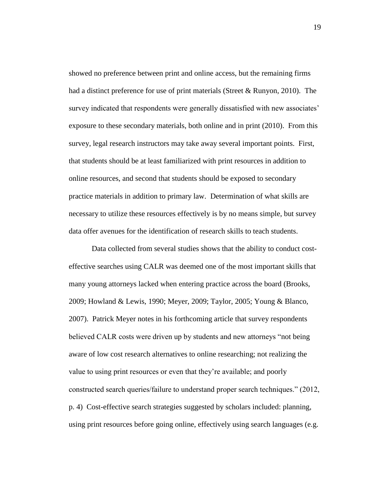showed no preference between print and online access, but the remaining firms had a distinct preference for use of print materials (Street & Runyon, 2010). The survey indicated that respondents were generally dissatisfied with new associates' exposure to these secondary materials, both online and in print (2010). From this survey, legal research instructors may take away several important points. First, that students should be at least familiarized with print resources in addition to online resources, and second that students should be exposed to secondary practice materials in addition to primary law. Determination of what skills are necessary to utilize these resources effectively is by no means simple, but survey data offer avenues for the identification of research skills to teach students.

Data collected from several studies shows that the ability to conduct costeffective searches using CALR was deemed one of the most important skills that many young attorneys lacked when entering practice across the board (Brooks, 2009; Howland & Lewis, 1990; Meyer, 2009; Taylor, 2005; Young & Blanco, 2007). Patrick Meyer notes in his forthcoming article that survey respondents believed CALR costs were driven up by students and new attorneys "not being aware of low cost research alternatives to online researching; not realizing the value to using print resources or even that they're available; and poorly constructed search queries/failure to understand proper search techniques." (2012, p. 4) Cost-effective search strategies suggested by scholars included: planning, using print resources before going online, effectively using search languages (e.g.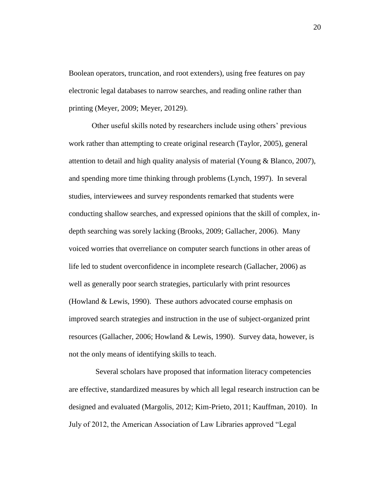Boolean operators, truncation, and root extenders), using free features on pay electronic legal databases to narrow searches, and reading online rather than printing (Meyer, 2009; Meyer, 20129).

Other useful skills noted by researchers include using others' previous work rather than attempting to create original research (Taylor, 2005), general attention to detail and high quality analysis of material (Young & Blanco, 2007), and spending more time thinking through problems (Lynch, 1997). In several studies, interviewees and survey respondents remarked that students were conducting shallow searches, and expressed opinions that the skill of complex, indepth searching was sorely lacking (Brooks, 2009; Gallacher, 2006). Many voiced worries that overreliance on computer search functions in other areas of life led to student overconfidence in incomplete research (Gallacher, 2006) as well as generally poor search strategies, particularly with print resources (Howland & Lewis, 1990). These authors advocated course emphasis on improved search strategies and instruction in the use of subject-organized print resources (Gallacher, 2006; Howland & Lewis, 1990). Survey data, however, is not the only means of identifying skills to teach.

 Several scholars have proposed that information literacy competencies are effective, standardized measures by which all legal research instruction can be designed and evaluated (Margolis, 2012; Kim-Prieto, 2011; Kauffman, 2010). In July of 2012, the American Association of Law Libraries approved "Legal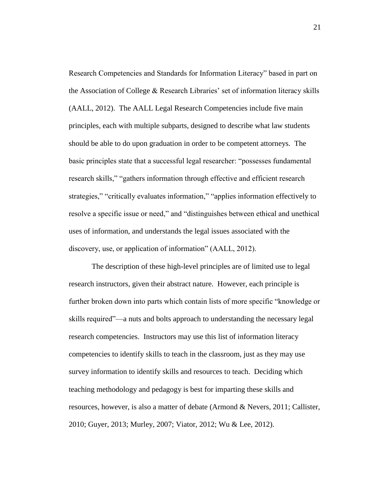Research Competencies and Standards for Information Literacy" based in part on the Association of College & Research Libraries' set of information literacy skills (AALL, 2012). The AALL Legal Research Competencies include five main principles, each with multiple subparts, designed to describe what law students should be able to do upon graduation in order to be competent attorneys. The basic principles state that a successful legal researcher: "possesses fundamental research skills," "gathers information through effective and efficient research strategies," "critically evaluates information," "applies information effectively to resolve a specific issue or need," and "distinguishes between ethical and unethical uses of information, and understands the legal issues associated with the discovery, use, or application of information" (AALL, 2012).

The description of these high-level principles are of limited use to legal research instructors, given their abstract nature. However, each principle is further broken down into parts which contain lists of more specific "knowledge or skills required"—a nuts and bolts approach to understanding the necessary legal research competencies. Instructors may use this list of information literacy competencies to identify skills to teach in the classroom, just as they may use survey information to identify skills and resources to teach. Deciding which teaching methodology and pedagogy is best for imparting these skills and resources, however, is also a matter of debate (Armond & Nevers, 2011; Callister, 2010; Guyer, 2013; Murley, 2007; Viator, 2012; Wu & Lee, 2012).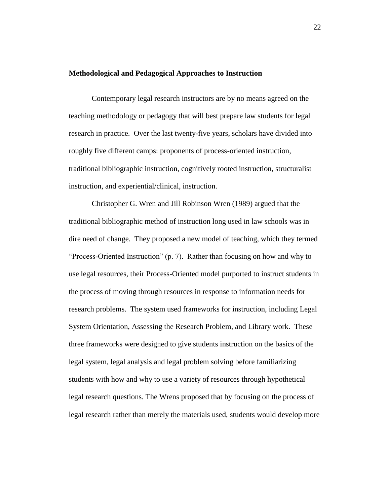### <span id="page-23-0"></span>**Methodological and Pedagogical Approaches to Instruction**

Contemporary legal research instructors are by no means agreed on the teaching methodology or pedagogy that will best prepare law students for legal research in practice. Over the last twenty-five years, scholars have divided into roughly five different camps: proponents of process-oriented instruction, traditional bibliographic instruction, cognitively rooted instruction, structuralist instruction, and experiential/clinical, instruction.

Christopher G. Wren and Jill Robinson Wren (1989) argued that the traditional bibliographic method of instruction long used in law schools was in dire need of change. They proposed a new model of teaching, which they termed "Process-Oriented Instruction" (p. 7). Rather than focusing on how and why to use legal resources, their Process-Oriented model purported to instruct students in the process of moving through resources in response to information needs for research problems. The system used frameworks for instruction, including Legal System Orientation, Assessing the Research Problem, and Library work. These three frameworks were designed to give students instruction on the basics of the legal system, legal analysis and legal problem solving before familiarizing students with how and why to use a variety of resources through hypothetical legal research questions. The Wrens proposed that by focusing on the process of legal research rather than merely the materials used, students would develop more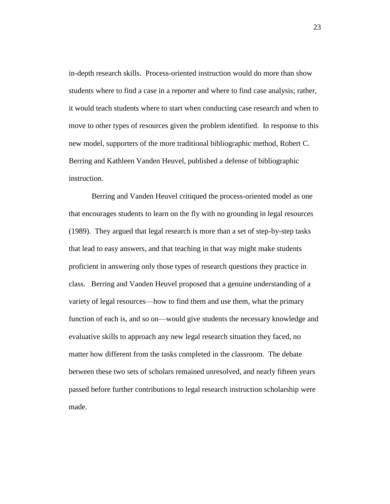in-depth research skills. Process-oriented instruction would do more than show students where to find a case in a reporter and where to find case analysis; rather, it would teach students where to start when conducting case research and when to move to other types of resources given the problem identified. In response to this new model, supporters of the more traditional bibliographic method, Robert C. Berring and Kathleen Vanden Heuvel, published a defense of bibliographic instruction.

Berring and Vanden Heuvel critiqued the process-oriented model as one that encourages students to learn on the fly with no grounding in legal resources (1989). They argued that legal research is more than a set of step-by-step tasks that lead to easy answers, and that teaching in that way might make students proficient in answering only those types of research questions they practice in class. Berring and Vanden Heuvel proposed that a genuine understanding of a variety of legal resources—how to find them and use them, what the primary function of each is, and so on—would give students the necessary knowledge and evaluative skills to approach any new legal research situation they faced, no matter how different from the tasks completed in the classroom. The debate between these two sets of scholars remained unresolved, and nearly fifteen years passed before further contributions to legal research instruction scholarship were made.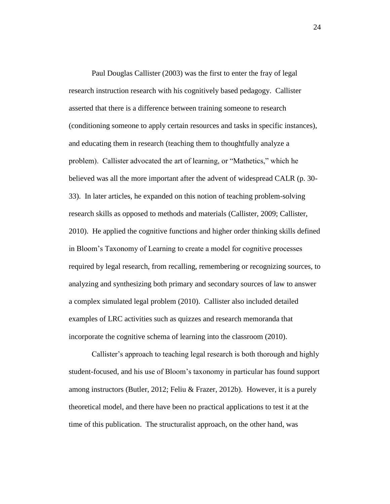Paul Douglas Callister (2003) was the first to enter the fray of legal research instruction research with his cognitively based pedagogy. Callister asserted that there is a difference between training someone to research (conditioning someone to apply certain resources and tasks in specific instances), and educating them in research (teaching them to thoughtfully analyze a problem). Callister advocated the art of learning, or "Mathetics," which he believed was all the more important after the advent of widespread CALR (p. 30- 33). In later articles, he expanded on this notion of teaching problem-solving research skills as opposed to methods and materials (Callister, 2009; Callister, 2010). He applied the cognitive functions and higher order thinking skills defined in Bloom's Taxonomy of Learning to create a model for cognitive processes required by legal research, from recalling, remembering or recognizing sources, to analyzing and synthesizing both primary and secondary sources of law to answer a complex simulated legal problem (2010). Callister also included detailed examples of LRC activities such as quizzes and research memoranda that incorporate the cognitive schema of learning into the classroom (2010).

Callister's approach to teaching legal research is both thorough and highly student-focused, and his use of Bloom's taxonomy in particular has found support among instructors (Butler, 2012; Feliu & Frazer, 2012b). However, it is a purely theoretical model, and there have been no practical applications to test it at the time of this publication. The structuralist approach, on the other hand, was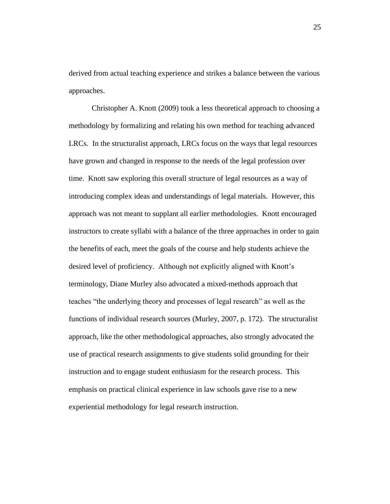derived from actual teaching experience and strikes a balance between the various approaches.

Christopher A. Knott (2009) took a less theoretical approach to choosing a methodology by formalizing and relating his own method for teaching advanced LRCs. In the structuralist approach, LRCs focus on the ways that legal resources have grown and changed in response to the needs of the legal profession over time. Knott saw exploring this overall structure of legal resources as a way of introducing complex ideas and understandings of legal materials. However, this approach was not meant to supplant all earlier methodologies. Knott encouraged instructors to create syllabi with a balance of the three approaches in order to gain the benefits of each, meet the goals of the course and help students achieve the desired level of proficiency. Although not explicitly aligned with Knott's terminology, Diane Murley also advocated a mixed-methods approach that teaches "the underlying theory and processes of legal research" as well as the functions of individual research sources (Murley, 2007, p. 172). The structuralist approach, like the other methodological approaches, also strongly advocated the use of practical research assignments to give students solid grounding for their instruction and to engage student enthusiasm for the research process. This emphasis on practical clinical experience in law schools gave rise to a new experiential methodology for legal research instruction.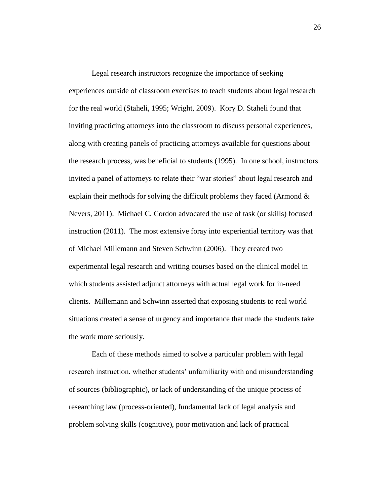Legal research instructors recognize the importance of seeking experiences outside of classroom exercises to teach students about legal research for the real world (Staheli, 1995; Wright, 2009). Kory D. Staheli found that inviting practicing attorneys into the classroom to discuss personal experiences, along with creating panels of practicing attorneys available for questions about the research process, was beneficial to students (1995). In one school, instructors invited a panel of attorneys to relate their "war stories" about legal research and explain their methods for solving the difficult problems they faced (Armond & Nevers, 2011). Michael C. Cordon advocated the use of task (or skills) focused instruction (2011). The most extensive foray into experiential territory was that of Michael Millemann and Steven Schwinn (2006). They created two experimental legal research and writing courses based on the clinical model in which students assisted adjunct attorneys with actual legal work for in-need clients. Millemann and Schwinn asserted that exposing students to real world situations created a sense of urgency and importance that made the students take the work more seriously.

Each of these methods aimed to solve a particular problem with legal research instruction, whether students' unfamiliarity with and misunderstanding of sources (bibliographic), or lack of understanding of the unique process of researching law (process-oriented), fundamental lack of legal analysis and problem solving skills (cognitive), poor motivation and lack of practical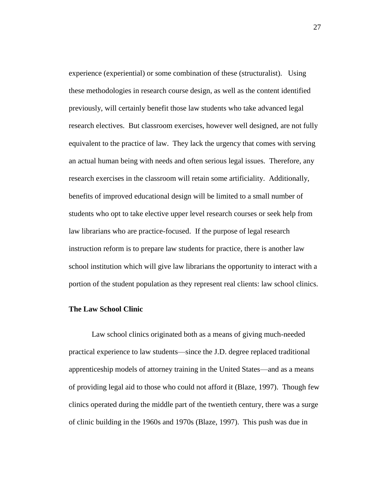experience (experiential) or some combination of these (structuralist). Using these methodologies in research course design, as well as the content identified previously, will certainly benefit those law students who take advanced legal research electives. But classroom exercises, however well designed, are not fully equivalent to the practice of law. They lack the urgency that comes with serving an actual human being with needs and often serious legal issues. Therefore, any research exercises in the classroom will retain some artificiality. Additionally, benefits of improved educational design will be limited to a small number of students who opt to take elective upper level research courses or seek help from law librarians who are practice-focused. If the purpose of legal research instruction reform is to prepare law students for practice, there is another law school institution which will give law librarians the opportunity to interact with a portion of the student population as they represent real clients: law school clinics.

#### <span id="page-28-0"></span>**The Law School Clinic**

Law school clinics originated both as a means of giving much-needed practical experience to law students—since the J.D. degree replaced traditional apprenticeship models of attorney training in the United States—and as a means of providing legal aid to those who could not afford it (Blaze, 1997). Though few clinics operated during the middle part of the twentieth century, there was a surge of clinic building in the 1960s and 1970s (Blaze, 1997). This push was due in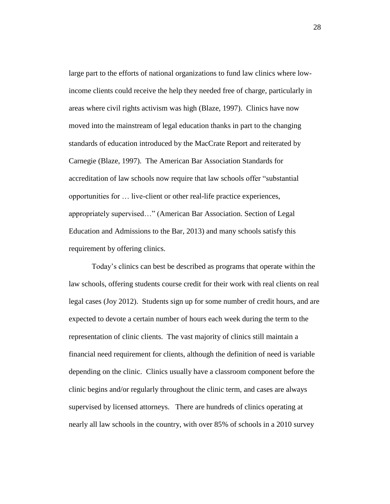large part to the efforts of national organizations to fund law clinics where lowincome clients could receive the help they needed free of charge, particularly in areas where civil rights activism was high (Blaze, 1997). Clinics have now moved into the mainstream of legal education thanks in part to the changing standards of education introduced by the MacCrate Report and reiterated by Carnegie (Blaze, 1997). The American Bar Association Standards for accreditation of law schools now require that law schools offer "substantial opportunities for … live-client or other real-life practice experiences, appropriately supervised…" (American Bar Association. Section of Legal Education and Admissions to the Bar, 2013) and many schools satisfy this requirement by offering clinics.

Today's clinics can best be described as programs that operate within the law schools, offering students course credit for their work with real clients on real legal cases (Joy 2012). Students sign up for some number of credit hours, and are expected to devote a certain number of hours each week during the term to the representation of clinic clients. The vast majority of clinics still maintain a financial need requirement for clients, although the definition of need is variable depending on the clinic. Clinics usually have a classroom component before the clinic begins and/or regularly throughout the clinic term, and cases are always supervised by licensed attorneys. There are hundreds of clinics operating at nearly all law schools in the country, with over 85% of schools in a 2010 survey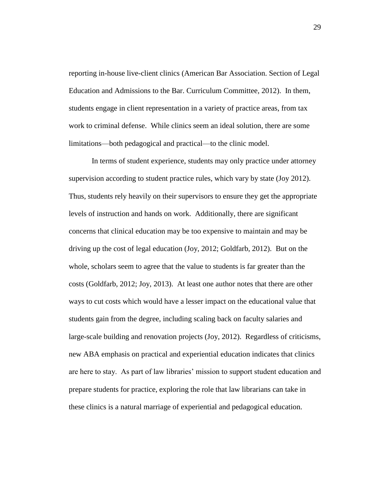reporting in-house live-client clinics (American Bar Association. Section of Legal Education and Admissions to the Bar. Curriculum Committee, 2012). In them, students engage in client representation in a variety of practice areas, from tax work to criminal defense. While clinics seem an ideal solution, there are some limitations—both pedagogical and practical—to the clinic model.

In terms of student experience, students may only practice under attorney supervision according to student practice rules, which vary by state (Joy 2012). Thus, students rely heavily on their supervisors to ensure they get the appropriate levels of instruction and hands on work. Additionally, there are significant concerns that clinical education may be too expensive to maintain and may be driving up the cost of legal education (Joy, 2012; Goldfarb, 2012). But on the whole, scholars seem to agree that the value to students is far greater than the costs (Goldfarb, 2012; Joy, 2013). At least one author notes that there are other ways to cut costs which would have a lesser impact on the educational value that students gain from the degree, including scaling back on faculty salaries and large-scale building and renovation projects (Joy, 2012). Regardless of criticisms, new ABA emphasis on practical and experiential education indicates that clinics are here to stay. As part of law libraries' mission to support student education and prepare students for practice, exploring the role that law librarians can take in these clinics is a natural marriage of experiential and pedagogical education.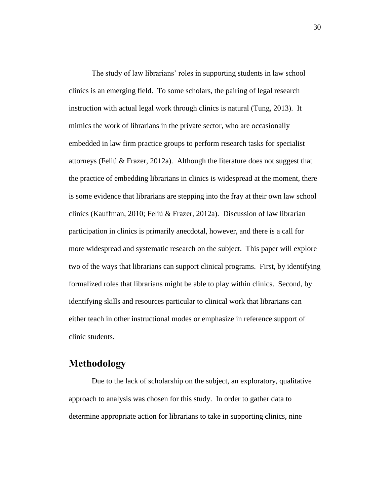The study of law librarians' roles in supporting students in law school clinics is an emerging field. To some scholars, the pairing of legal research instruction with actual legal work through clinics is natural (Tung, 2013). It mimics the work of librarians in the private sector, who are occasionally embedded in law firm practice groups to perform research tasks for specialist attorneys (Feliú & Frazer, 2012a). Although the literature does not suggest that the practice of embedding librarians in clinics is widespread at the moment, there is some evidence that librarians are stepping into the fray at their own law school clinics (Kauffman, 2010; Feliú & Frazer, 2012a). Discussion of law librarian participation in clinics is primarily anecdotal, however, and there is a call for more widespread and systematic research on the subject. This paper will explore two of the ways that librarians can support clinical programs. First, by identifying formalized roles that librarians might be able to play within clinics. Second, by identifying skills and resources particular to clinical work that librarians can either teach in other instructional modes or emphasize in reference support of clinic students.

## <span id="page-31-0"></span>**Methodology**

Due to the lack of scholarship on the subject, an exploratory, qualitative approach to analysis was chosen for this study. In order to gather data to determine appropriate action for librarians to take in supporting clinics, nine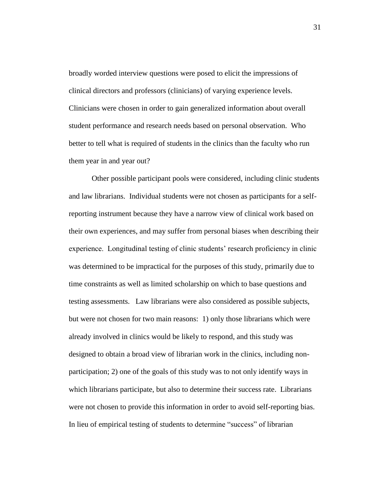broadly worded interview questions were posed to elicit the impressions of clinical directors and professors (clinicians) of varying experience levels. Clinicians were chosen in order to gain generalized information about overall student performance and research needs based on personal observation. Who better to tell what is required of students in the clinics than the faculty who run them year in and year out?

Other possible participant pools were considered, including clinic students and law librarians. Individual students were not chosen as participants for a selfreporting instrument because they have a narrow view of clinical work based on their own experiences, and may suffer from personal biases when describing their experience. Longitudinal testing of clinic students' research proficiency in clinic was determined to be impractical for the purposes of this study, primarily due to time constraints as well as limited scholarship on which to base questions and testing assessments. Law librarians were also considered as possible subjects, but were not chosen for two main reasons: 1) only those librarians which were already involved in clinics would be likely to respond, and this study was designed to obtain a broad view of librarian work in the clinics, including nonparticipation; 2) one of the goals of this study was to not only identify ways in which librarians participate, but also to determine their success rate. Librarians were not chosen to provide this information in order to avoid self-reporting bias. In lieu of empirical testing of students to determine "success" of librarian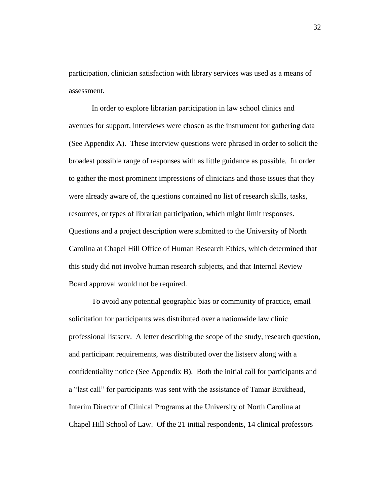participation, clinician satisfaction with library services was used as a means of assessment.

In order to explore librarian participation in law school clinics and avenues for support, interviews were chosen as the instrument for gathering data (See Appendix A). These interview questions were phrased in order to solicit the broadest possible range of responses with as little guidance as possible. In order to gather the most prominent impressions of clinicians and those issues that they were already aware of, the questions contained no list of research skills, tasks, resources, or types of librarian participation, which might limit responses. Questions and a project description were submitted to the University of North Carolina at Chapel Hill Office of Human Research Ethics, which determined that this study did not involve human research subjects, and that Internal Review Board approval would not be required.

To avoid any potential geographic bias or community of practice, email solicitation for participants was distributed over a nationwide law clinic professional listserv. A letter describing the scope of the study, research question, and participant requirements, was distributed over the listserv along with a confidentiality notice (See Appendix B). Both the initial call for participants and a "last call" for participants was sent with the assistance of Tamar Birckhead, Interim Director of Clinical Programs at the University of North Carolina at Chapel Hill School of Law. Of the 21 initial respondents, 14 clinical professors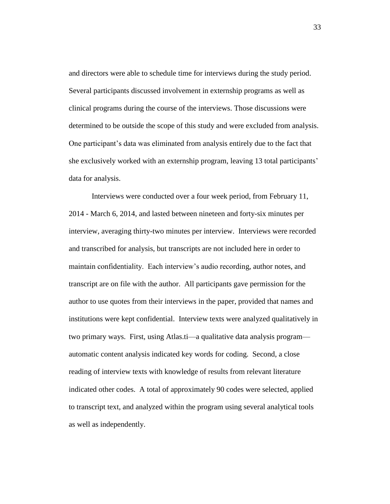and directors were able to schedule time for interviews during the study period. Several participants discussed involvement in externship programs as well as clinical programs during the course of the interviews. Those discussions were determined to be outside the scope of this study and were excluded from analysis. One participant's data was eliminated from analysis entirely due to the fact that she exclusively worked with an externship program, leaving 13 total participants' data for analysis.

Interviews were conducted over a four week period, from February 11, 2014 - March 6, 2014, and lasted between nineteen and forty-six minutes per interview, averaging thirty-two minutes per interview. Interviews were recorded and transcribed for analysis, but transcripts are not included here in order to maintain confidentiality. Each interview's audio recording, author notes, and transcript are on file with the author. All participants gave permission for the author to use quotes from their interviews in the paper, provided that names and institutions were kept confidential. Interview texts were analyzed qualitatively in two primary ways. First, using Atlas.ti—a qualitative data analysis program automatic content analysis indicated key words for coding. Second, a close reading of interview texts with knowledge of results from relevant literature indicated other codes. A total of approximately 90 codes were selected, applied to transcript text, and analyzed within the program using several analytical tools as well as independently.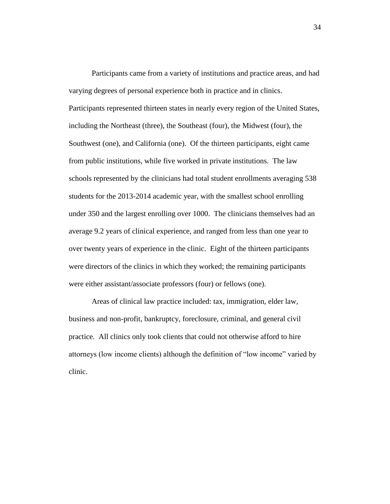Participants came from a variety of institutions and practice areas, and had varying degrees of personal experience both in practice and in clinics. Participants represented thirteen states in nearly every region of the United States, including the Northeast (three), the Southeast (four), the Midwest (four), the Southwest (one), and California (one). Of the thirteen participants, eight came from public institutions, while five worked in private institutions. The law schools represented by the clinicians had total student enrollments averaging 538 students for the 2013-2014 academic year, with the smallest school enrolling under 350 and the largest enrolling over 1000. The clinicians themselves had an average 9.2 years of clinical experience, and ranged from less than one year to over twenty years of experience in the clinic. Eight of the thirteen participants were directors of the clinics in which they worked; the remaining participants were either assistant/associate professors (four) or fellows (one).

Areas of clinical law practice included: tax, immigration, elder law, business and non-profit, bankruptcy, foreclosure, criminal, and general civil practice. All clinics only took clients that could not otherwise afford to hire attorneys (low income clients) although the definition of "low income" varied by clinic.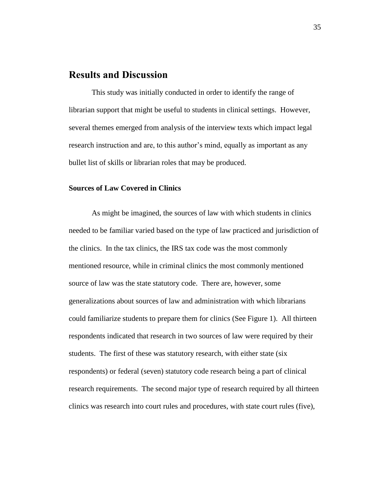## <span id="page-36-0"></span>**Results and Discussion**

This study was initially conducted in order to identify the range of librarian support that might be useful to students in clinical settings. However, several themes emerged from analysis of the interview texts which impact legal research instruction and are, to this author's mind, equally as important as any bullet list of skills or librarian roles that may be produced.

### <span id="page-36-1"></span>**Sources of Law Covered in Clinics**

As might be imagined, the sources of law with which students in clinics needed to be familiar varied based on the type of law practiced and jurisdiction of the clinics. In the tax clinics, the IRS tax code was the most commonly mentioned resource, while in criminal clinics the most commonly mentioned source of law was the state statutory code. There are, however, some generalizations about sources of law and administration with which librarians could familiarize students to prepare them for clinics (See Figure 1). All thirteen respondents indicated that research in two sources of law were required by their students. The first of these was statutory research, with either state (six respondents) or federal (seven) statutory code research being a part of clinical research requirements. The second major type of research required by all thirteen clinics was research into court rules and procedures, with state court rules (five),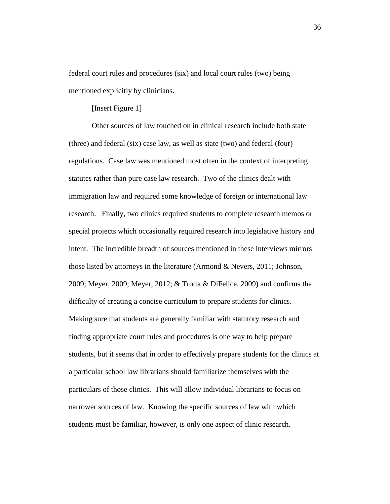federal court rules and procedures (six) and local court rules (two) being mentioned explicitly by clinicians.

## [Insert Figure 1]

Other sources of law touched on in clinical research include both state (three) and federal (six) case law, as well as state (two) and federal (four) regulations. Case law was mentioned most often in the context of interpreting statutes rather than pure case law research. Two of the clinics dealt with immigration law and required some knowledge of foreign or international law research. Finally, two clinics required students to complete research memos or special projects which occasionally required research into legislative history and intent. The incredible breadth of sources mentioned in these interviews mirrors those listed by attorneys in the literature (Armond & Nevers, 2011; Johnson, 2009; Meyer, 2009; Meyer, 2012; & Trotta & DiFelice, 2009) and confirms the difficulty of creating a concise curriculum to prepare students for clinics. Making sure that students are generally familiar with statutory research and finding appropriate court rules and procedures is one way to help prepare students, but it seems that in order to effectively prepare students for the clinics at a particular school law librarians should familiarize themselves with the particulars of those clinics. This will allow individual librarians to focus on narrower sources of law. Knowing the specific sources of law with which students must be familiar, however, is only one aspect of clinic research.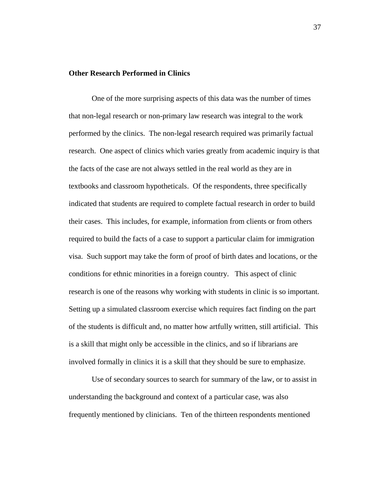## <span id="page-38-0"></span>**Other Research Performed in Clinics**

One of the more surprising aspects of this data was the number of times that non-legal research or non-primary law research was integral to the work performed by the clinics. The non-legal research required was primarily factual research. One aspect of clinics which varies greatly from academic inquiry is that the facts of the case are not always settled in the real world as they are in textbooks and classroom hypotheticals. Of the respondents, three specifically indicated that students are required to complete factual research in order to build their cases. This includes, for example, information from clients or from others required to build the facts of a case to support a particular claim for immigration visa. Such support may take the form of proof of birth dates and locations, or the conditions for ethnic minorities in a foreign country. This aspect of clinic research is one of the reasons why working with students in clinic is so important. Setting up a simulated classroom exercise which requires fact finding on the part of the students is difficult and, no matter how artfully written, still artificial. This is a skill that might only be accessible in the clinics, and so if librarians are involved formally in clinics it is a skill that they should be sure to emphasize.

Use of secondary sources to search for summary of the law, or to assist in understanding the background and context of a particular case, was also frequently mentioned by clinicians. Ten of the thirteen respondents mentioned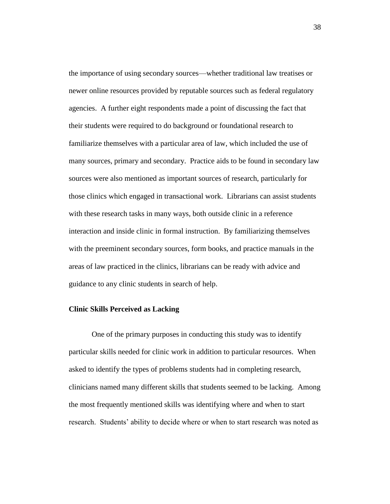the importance of using secondary sources—whether traditional law treatises or newer online resources provided by reputable sources such as federal regulatory agencies. A further eight respondents made a point of discussing the fact that their students were required to do background or foundational research to familiarize themselves with a particular area of law, which included the use of many sources, primary and secondary. Practice aids to be found in secondary law sources were also mentioned as important sources of research, particularly for those clinics which engaged in transactional work. Librarians can assist students with these research tasks in many ways, both outside clinic in a reference interaction and inside clinic in formal instruction. By familiarizing themselves with the preeminent secondary sources, form books, and practice manuals in the areas of law practiced in the clinics, librarians can be ready with advice and guidance to any clinic students in search of help.

#### <span id="page-39-0"></span>**Clinic Skills Perceived as Lacking**

One of the primary purposes in conducting this study was to identify particular skills needed for clinic work in addition to particular resources. When asked to identify the types of problems students had in completing research, clinicians named many different skills that students seemed to be lacking. Among the most frequently mentioned skills was identifying where and when to start research. Students' ability to decide where or when to start research was noted as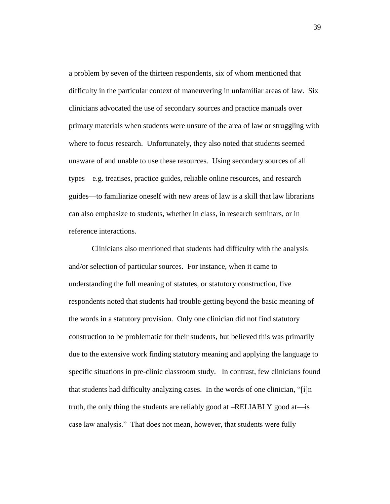a problem by seven of the thirteen respondents, six of whom mentioned that difficulty in the particular context of maneuvering in unfamiliar areas of law. Six clinicians advocated the use of secondary sources and practice manuals over primary materials when students were unsure of the area of law or struggling with where to focus research. Unfortunately, they also noted that students seemed unaware of and unable to use these resources. Using secondary sources of all types—e.g. treatises, practice guides, reliable online resources, and research guides—to familiarize oneself with new areas of law is a skill that law librarians can also emphasize to students, whether in class, in research seminars, or in reference interactions.

Clinicians also mentioned that students had difficulty with the analysis and/or selection of particular sources. For instance, when it came to understanding the full meaning of statutes, or statutory construction, five respondents noted that students had trouble getting beyond the basic meaning of the words in a statutory provision. Only one clinician did not find statutory construction to be problematic for their students, but believed this was primarily due to the extensive work finding statutory meaning and applying the language to specific situations in pre-clinic classroom study. In contrast, few clinicians found that students had difficulty analyzing cases. In the words of one clinician, "[i]n truth, the only thing the students are reliably good at –RELIABLY good at—is case law analysis." That does not mean, however, that students were fully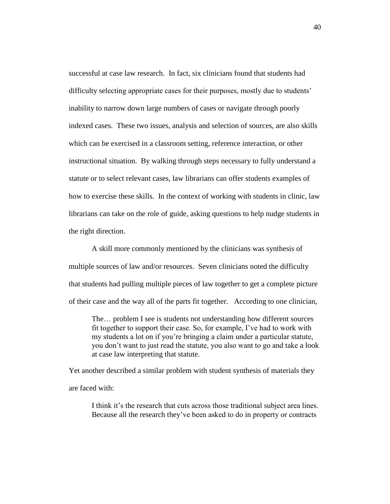successful at case law research. In fact, six clinicians found that students had difficulty selecting appropriate cases for their purposes, mostly due to students' inability to narrow down large numbers of cases or navigate through poorly indexed cases. These two issues, analysis and selection of sources, are also skills which can be exercised in a classroom setting, reference interaction, or other instructional situation. By walking through steps necessary to fully understand a statute or to select relevant cases, law librarians can offer students examples of how to exercise these skills. In the context of working with students in clinic, law librarians can take on the role of guide, asking questions to help nudge students in the right direction.

A skill more commonly mentioned by the clinicians was synthesis of multiple sources of law and/or resources. Seven clinicians noted the difficulty that students had pulling multiple pieces of law together to get a complete picture of their case and the way all of the parts fit together. According to one clinician,

The… problem I see is students not understanding how different sources fit together to support their case. So, for example, I've had to work with my students a lot on if you're bringing a claim under a particular statute, you don't want to just read the statute, you also want to go and take a look at case law interpreting that statute.

Yet another described a similar problem with student synthesis of materials they are faced with:

I think it's the research that cuts across those traditional subject area lines. Because all the research they've been asked to do in property or contracts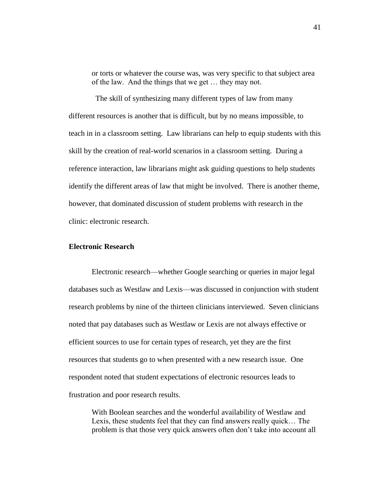or torts or whatever the course was, was very specific to that subject area of the law. And the things that we get … they may not.

 The skill of synthesizing many different types of law from many different resources is another that is difficult, but by no means impossible, to teach in in a classroom setting. Law librarians can help to equip students with this skill by the creation of real-world scenarios in a classroom setting. During a reference interaction, law librarians might ask guiding questions to help students identify the different areas of law that might be involved. There is another theme, however, that dominated discussion of student problems with research in the clinic: electronic research.

## <span id="page-42-0"></span>**Electronic Research**

Electronic research—whether Google searching or queries in major legal databases such as Westlaw and Lexis—was discussed in conjunction with student research problems by nine of the thirteen clinicians interviewed. Seven clinicians noted that pay databases such as Westlaw or Lexis are not always effective or efficient sources to use for certain types of research, yet they are the first resources that students go to when presented with a new research issue. One respondent noted that student expectations of electronic resources leads to frustration and poor research results.

With Boolean searches and the wonderful availability of Westlaw and Lexis, these students feel that they can find answers really quick… The problem is that those very quick answers often don't take into account all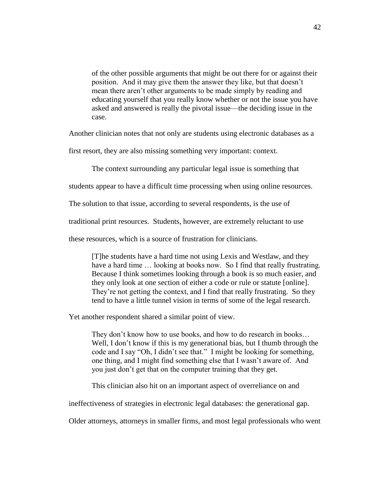of the other possible arguments that might be out there for or against their position. And it may give them the answer they like, but that doesn't mean there aren't other arguments to be made simply by reading and educating yourself that you really know whether or not the issue you have asked and answered is really the pivotal issue—the deciding issue in the case.

Another clinician notes that not only are students using electronic databases as a

first resort, they are also missing something very important: context.

The context surrounding any particular legal issue is something that

students appear to have a difficult time processing when using online resources.

The solution to that issue, according to several respondents, is the use of

traditional print resources. Students, however, are extremely reluctant to use

these resources, which is a source of frustration for clinicians.

[T]he students have a hard time not using Lexis and Westlaw, and they have a hard time ... looking at books now. So I find that really frustrating. Because I think sometimes looking through a book is so much easier, and they only look at one section of either a code or rule or statute [online]. They're not getting the context, and I find that really frustrating. So they tend to have a little tunnel vision in terms of some of the legal research.

Yet another respondent shared a similar point of view.

They don't know how to use books, and how to do research in books… Well, I don't know if this is my generational bias, but I thumb through the code and I say "Oh, I didn't see that." I might be looking for something, one thing, and I might find something else that I wasn't aware of. And you just don't get that on the computer training that they get.

This clinician also hit on an important aspect of overreliance on and

ineffectiveness of strategies in electronic legal databases: the generational gap.

Older attorneys, attorneys in smaller firms, and most legal professionals who went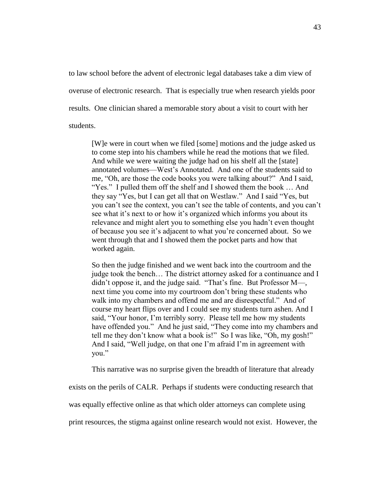to law school before the advent of electronic legal databases take a dim view of overuse of electronic research. That is especially true when research yields poor results. One clinician shared a memorable story about a visit to court with her students.

[W]e were in court when we filed [some] motions and the judge asked us to come step into his chambers while he read the motions that we filed. And while we were waiting the judge had on his shelf all the [state] annotated volumes—West's Annotated. And one of the students said to me, "Oh, are those the code books you were talking about?" And I said, "Yes." I pulled them off the shelf and I showed them the book … And they say "Yes, but I can get all that on Westlaw." And I said "Yes, but you can't see the context, you can't see the table of contents, and you can't see what it's next to or how it's organized which informs you about its relevance and might alert you to something else you hadn't even thought of because you see it's adjacent to what you're concerned about. So we went through that and I showed them the pocket parts and how that worked again.

So then the judge finished and we went back into the courtroom and the judge took the bench… The district attorney asked for a continuance and I didn't oppose it, and the judge said. "That's fine. But Professor M—, next time you come into my courtroom don't bring these students who walk into my chambers and offend me and are disrespectful." And of course my heart flips over and I could see my students turn ashen. And I said, "Your honor, I'm terribly sorry. Please tell me how my students have offended you." And he just said, "They come into my chambers and tell me they don't know what a book is!" So I was like, "Oh, my gosh!" And I said, "Well judge, on that one I'm afraid I'm in agreement with you."

This narrative was no surprise given the breadth of literature that already

exists on the perils of CALR. Perhaps if students were conducting research that

was equally effective online as that which older attorneys can complete using

print resources, the stigma against online research would not exist. However, the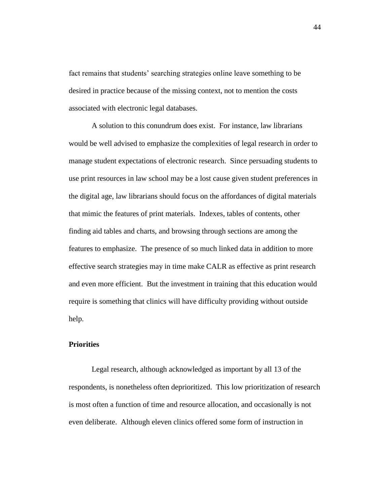fact remains that students' searching strategies online leave something to be desired in practice because of the missing context, not to mention the costs associated with electronic legal databases.

A solution to this conundrum does exist. For instance, law librarians would be well advised to emphasize the complexities of legal research in order to manage student expectations of electronic research. Since persuading students to use print resources in law school may be a lost cause given student preferences in the digital age, law librarians should focus on the affordances of digital materials that mimic the features of print materials. Indexes, tables of contents, other finding aid tables and charts, and browsing through sections are among the features to emphasize. The presence of so much linked data in addition to more effective search strategies may in time make CALR as effective as print research and even more efficient. But the investment in training that this education would require is something that clinics will have difficulty providing without outside help.

### <span id="page-45-0"></span>**Priorities**

Legal research, although acknowledged as important by all 13 of the respondents, is nonetheless often deprioritized. This low prioritization of research is most often a function of time and resource allocation, and occasionally is not even deliberate. Although eleven clinics offered some form of instruction in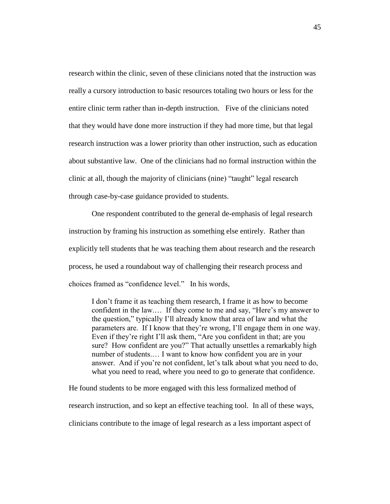research within the clinic, seven of these clinicians noted that the instruction was really a cursory introduction to basic resources totaling two hours or less for the entire clinic term rather than in-depth instruction. Five of the clinicians noted that they would have done more instruction if they had more time, but that legal research instruction was a lower priority than other instruction, such as education about substantive law. One of the clinicians had no formal instruction within the clinic at all, though the majority of clinicians (nine) "taught" legal research through case-by-case guidance provided to students.

One respondent contributed to the general de-emphasis of legal research instruction by framing his instruction as something else entirely. Rather than explicitly tell students that he was teaching them about research and the research process, he used a roundabout way of challenging their research process and choices framed as "confidence level." In his words,

I don't frame it as teaching them research, I frame it as how to become confident in the law.… If they come to me and say, "Here's my answer to the question," typically I'll already know that area of law and what the parameters are. If I know that they're wrong, I'll engage them in one way. Even if they're right I'll ask them, "Are you confident in that; are you sure? How confident are you?" That actually unsettles a remarkably high number of students.… I want to know how confident you are in your answer. And if you're not confident, let's talk about what you need to do, what you need to read, where you need to go to generate that confidence.

He found students to be more engaged with this less formalized method of research instruction, and so kept an effective teaching tool. In all of these ways, clinicians contribute to the image of legal research as a less important aspect of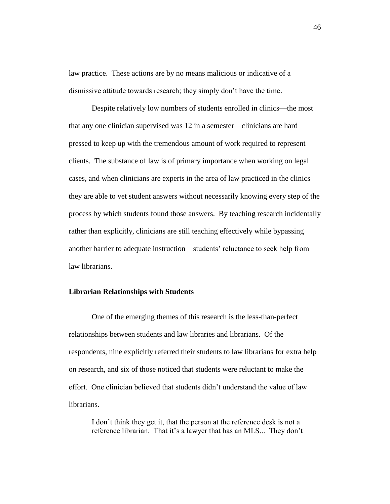law practice. These actions are by no means malicious or indicative of a dismissive attitude towards research; they simply don't have the time.

Despite relatively low numbers of students enrolled in clinics—the most that any one clinician supervised was 12 in a semester—clinicians are hard pressed to keep up with the tremendous amount of work required to represent clients. The substance of law is of primary importance when working on legal cases, and when clinicians are experts in the area of law practiced in the clinics they are able to vet student answers without necessarily knowing every step of the process by which students found those answers. By teaching research incidentally rather than explicitly, clinicians are still teaching effectively while bypassing another barrier to adequate instruction—students' reluctance to seek help from law librarians.

### <span id="page-47-0"></span>**Librarian Relationships with Students**

One of the emerging themes of this research is the less-than-perfect relationships between students and law libraries and librarians. Of the respondents, nine explicitly referred their students to law librarians for extra help on research, and six of those noticed that students were reluctant to make the effort. One clinician believed that students didn't understand the value of law librarians.

I don't think they get it, that the person at the reference desk is not a reference librarian. That it's a lawyer that has an MLS... They don't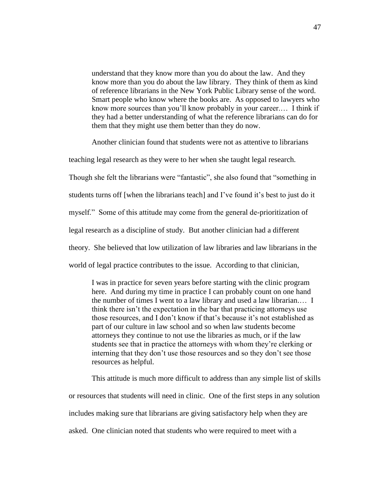understand that they know more than you do about the law. And they know more than you do about the law library. They think of them as kind of reference librarians in the New York Public Library sense of the word. Smart people who know where the books are. As opposed to lawyers who know more sources than you'll know probably in your career.… I think if they had a better understanding of what the reference librarians can do for them that they might use them better than they do now.

Another clinician found that students were not as attentive to librarians

teaching legal research as they were to her when she taught legal research.

Though she felt the librarians were "fantastic", she also found that "something in

students turns off [when the librarians teach] and I've found it's best to just do it

myself." Some of this attitude may come from the general de-prioritization of

legal research as a discipline of study. But another clinician had a different

theory. She believed that low utilization of law libraries and law librarians in the

world of legal practice contributes to the issue. According to that clinician,

I was in practice for seven years before starting with the clinic program here. And during my time in practice I can probably count on one hand the number of times I went to a law library and used a law librarian.… I think there isn't the expectation in the bar that practicing attorneys use those resources, and I don't know if that's because it's not established as part of our culture in law school and so when law students become attorneys they continue to not use the libraries as much, or if the law students see that in practice the attorneys with whom they're clerking or interning that they don't use those resources and so they don't see those resources as helpful.

This attitude is much more difficult to address than any simple list of skills or resources that students will need in clinic. One of the first steps in any solution includes making sure that librarians are giving satisfactory help when they are asked. One clinician noted that students who were required to meet with a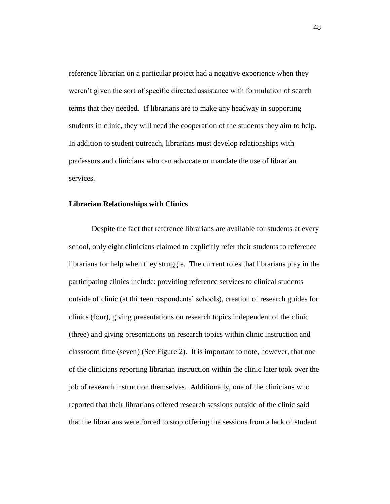reference librarian on a particular project had a negative experience when they weren't given the sort of specific directed assistance with formulation of search terms that they needed. If librarians are to make any headway in supporting students in clinic, they will need the cooperation of the students they aim to help. In addition to student outreach, librarians must develop relationships with professors and clinicians who can advocate or mandate the use of librarian services.

### <span id="page-49-0"></span>**Librarian Relationships with Clinics**

Despite the fact that reference librarians are available for students at every school, only eight clinicians claimed to explicitly refer their students to reference librarians for help when they struggle. The current roles that librarians play in the participating clinics include: providing reference services to clinical students outside of clinic (at thirteen respondents' schools), creation of research guides for clinics (four), giving presentations on research topics independent of the clinic (three) and giving presentations on research topics within clinic instruction and classroom time (seven) (See Figure 2). It is important to note, however, that one of the clinicians reporting librarian instruction within the clinic later took over the job of research instruction themselves. Additionally, one of the clinicians who reported that their librarians offered research sessions outside of the clinic said that the librarians were forced to stop offering the sessions from a lack of student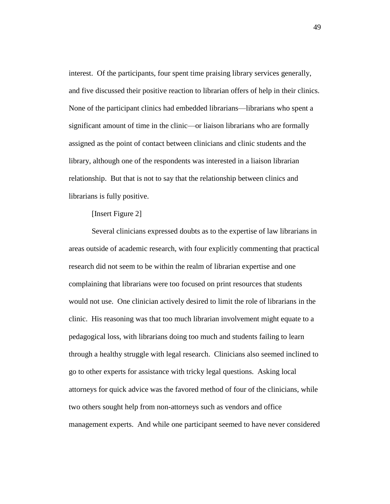interest. Of the participants, four spent time praising library services generally, and five discussed their positive reaction to librarian offers of help in their clinics. None of the participant clinics had embedded librarians—librarians who spent a significant amount of time in the clinic—or liaison librarians who are formally assigned as the point of contact between clinicians and clinic students and the library, although one of the respondents was interested in a liaison librarian relationship. But that is not to say that the relationship between clinics and librarians is fully positive.

## [Insert Figure 2]

Several clinicians expressed doubts as to the expertise of law librarians in areas outside of academic research, with four explicitly commenting that practical research did not seem to be within the realm of librarian expertise and one complaining that librarians were too focused on print resources that students would not use. One clinician actively desired to limit the role of librarians in the clinic. His reasoning was that too much librarian involvement might equate to a pedagogical loss, with librarians doing too much and students failing to learn through a healthy struggle with legal research. Clinicians also seemed inclined to go to other experts for assistance with tricky legal questions. Asking local attorneys for quick advice was the favored method of four of the clinicians, while two others sought help from non-attorneys such as vendors and office management experts. And while one participant seemed to have never considered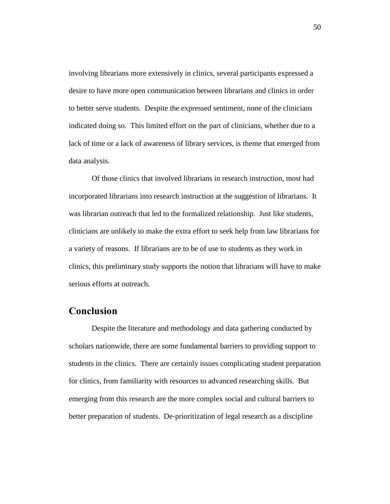involving librarians more extensively in clinics, several participants expressed a desire to have more open communication between librarians and clinics in order to better serve students. Despite the expressed sentiment, none of the clinicians indicated doing so. This limited effort on the part of clinicians, whether due to a lack of time or a lack of awareness of library services, is theme that emerged from data analysis.

Of those clinics that involved librarians in research instruction, most had incorporated librarians into research instruction at the suggestion of librarians. It was librarian outreach that led to the formalized relationship. Just like students, clinicians are unlikely to make the extra effort to seek help from law librarians for a variety of reasons. If librarians are to be of use to students as they work in clinics, this preliminary study supports the notion that librarians will have to make serious efforts at outreach.

## <span id="page-51-0"></span>**Conclusion**

Despite the literature and methodology and data gathering conducted by scholars nationwide, there are some fundamental barriers to providing support to students in the clinics. There are certainly issues complicating student preparation for clinics, from familiarity with resources to advanced researching skills. But emerging from this research are the more complex social and cultural barriers to better preparation of students. De-prioritization of legal research as a discipline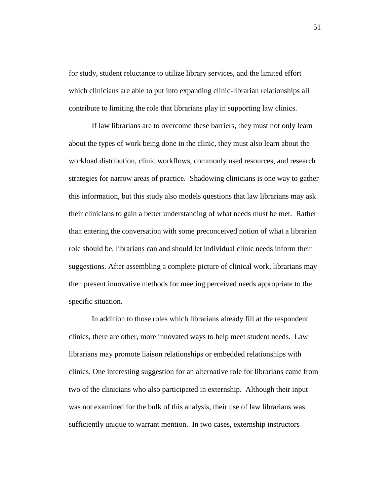for study, student reluctance to utilize library services, and the limited effort which clinicians are able to put into expanding clinic-librarian relationships all contribute to limiting the role that librarians play in supporting law clinics.

If law librarians are to overcome these barriers, they must not only learn about the types of work being done in the clinic, they must also learn about the workload distribution, clinic workflows, commonly used resources, and research strategies for narrow areas of practice. Shadowing clinicians is one way to gather this information, but this study also models questions that law librarians may ask their clinicians to gain a better understanding of what needs must be met. Rather than entering the conversation with some preconceived notion of what a librarian role should be, librarians can and should let individual clinic needs inform their suggestions. After assembling a complete picture of clinical work, librarians may then present innovative methods for meeting perceived needs appropriate to the specific situation.

In addition to those roles which librarians already fill at the respondent clinics, there are other, more innovated ways to help meet student needs. Law librarians may promote liaison relationships or embedded relationships with clinics. One interesting suggestion for an alternative role for librarians came from two of the clinicians who also participated in externship. Although their input was not examined for the bulk of this analysis, their use of law librarians was sufficiently unique to warrant mention. In two cases, externship instructors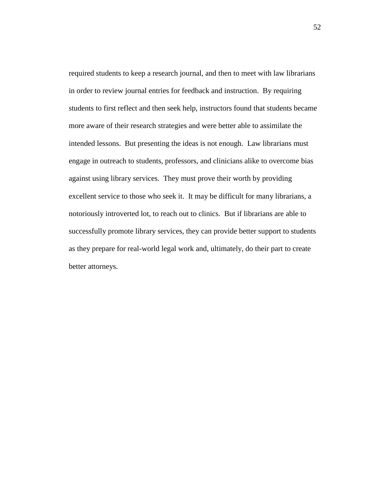required students to keep a research journal, and then to meet with law librarians in order to review journal entries for feedback and instruction. By requiring students to first reflect and then seek help, instructors found that students became more aware of their research strategies and were better able to assimilate the intended lessons. But presenting the ideas is not enough. Law librarians must engage in outreach to students, professors, and clinicians alike to overcome bias against using library services. They must prove their worth by providing excellent service to those who seek it. It may be difficult for many librarians, a notoriously introverted lot, to reach out to clinics. But if librarians are able to successfully promote library services, they can provide better support to students as they prepare for real-world legal work and, ultimately, do their part to create better attorneys.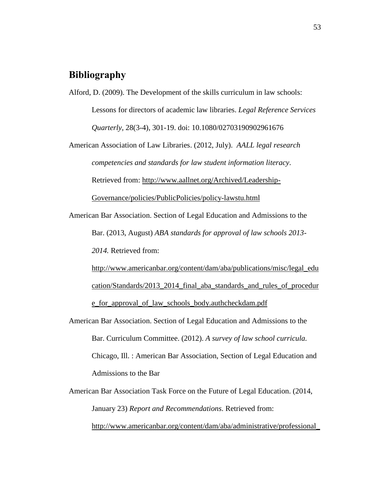# <span id="page-54-0"></span>**Bibliography**

Alford, D. (2009). The Development of the skills curriculum in law schools: Lessons for directors of academic law libraries. *Legal Reference Services Quarterly,* 28(3-4), 301-19. doi: 10.1080/02703190902961676

American Association of Law Libraries. (2012, July). *AALL legal research competencies and standards for law student information literacy*. Retrieved from: [http://www.aallnet.org/Archived/Leadership-](http://www.aallnet.org/Archived/Leadership-Governance/policies/PublicPolicies/policy-lawstu.html)[Governance/policies/PublicPolicies/policy-lawstu.html](http://www.aallnet.org/Archived/Leadership-Governance/policies/PublicPolicies/policy-lawstu.html)

American Bar Association. Section of Legal Education and Admissions to the Bar. (2013, August) *ABA standards for approval of law schools 2013- 2014.* Retrieved from:

[http://www.americanbar.org/content/dam/aba/publications/misc/legal\\_edu](http://www.americanbar.org/content/dam/aba/publications/misc/legal_education/Standards/2013_2014_final_aba_standards_and_rules_of_procedure_for_approval_of_law_schools_body.authcheckdam.pdf) [cation/Standards/2013\\_2014\\_final\\_aba\\_standards\\_and\\_rules\\_of\\_procedur](http://www.americanbar.org/content/dam/aba/publications/misc/legal_education/Standards/2013_2014_final_aba_standards_and_rules_of_procedure_for_approval_of_law_schools_body.authcheckdam.pdf) [e\\_for\\_approval\\_of\\_law\\_schools\\_body.authcheckdam.pdf](http://www.americanbar.org/content/dam/aba/publications/misc/legal_education/Standards/2013_2014_final_aba_standards_and_rules_of_procedure_for_approval_of_law_schools_body.authcheckdam.pdf)

American Bar Association. Section of Legal Education and Admissions to the Bar. Curriculum Committee. (2012). *A survey of law school curricula.*  Chicago, Ill. : American Bar Association, Section of Legal Education and Admissions to the Bar

American Bar Association Task Force on the Future of Legal Education. (2014, January 23) *Report and Recommendations*. Retrieved from: [http://www.americanbar.org/content/dam/aba/administrative/professional\\_](http://www.americanbar.org/content/dam/aba/administrative/professional_responsibility/report_and_recommendations_of_aba_task_force.authcheckdam.pdf)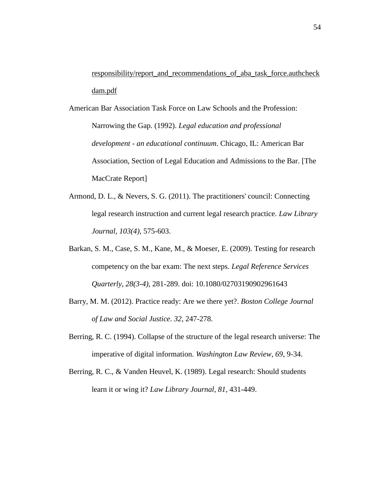[responsibility/report\\_and\\_recommendations\\_of\\_aba\\_task\\_force.authcheck](http://www.americanbar.org/content/dam/aba/administrative/professional_responsibility/report_and_recommendations_of_aba_task_force.authcheckdam.pdf) [dam.pdf](http://www.americanbar.org/content/dam/aba/administrative/professional_responsibility/report_and_recommendations_of_aba_task_force.authcheckdam.pdf)

- American Bar Association Task Force on Law Schools and the Profession: Narrowing the Gap. (1992). *Legal education and professional development - an educational continuum*. Chicago, IL: American Bar Association, Section of Legal Education and Admissions to the Bar. [The MacCrate Report]
- Armond, D. L., & Nevers, S. G. (2011). The practitioners' council: Connecting legal research instruction and current legal research practice. *Law Library Journal, 103(4)*, 575-603.
- Barkan, S. M., Case, S. M., Kane, M., & Moeser, E. (2009). Testing for research competency on the bar exam: The next steps. *Legal Reference Services Quarterly, 28(3-4)*, 281-289. doi: 10.1080/02703190902961643
- Barry, M. M. (2012). Practice ready: Are we there yet?. *Boston College Journal of Law and Social Justice*. *32*, 247-278.
- Berring, R. C. (1994). Collapse of the structure of the legal research universe: The imperative of digital information. *Washington Law Review, 69*, 9-34.
- Berring, R. C., & Vanden Heuvel, K. (1989). Legal research: Should students learn it or wing it? *Law Library Journal, 81*, 431-449.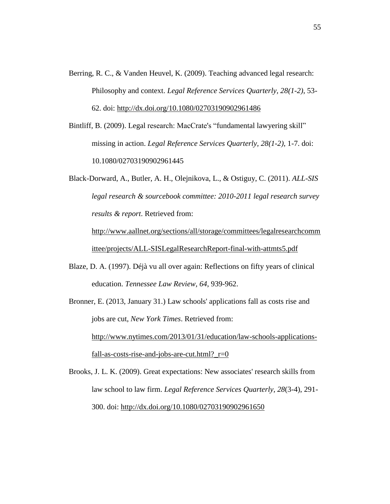- Berring, R. C., & Vanden Heuvel, K. (2009). Teaching advanced legal research: Philosophy and context. *Legal Reference Services Quarterly, 28(1-2)*, 53- 62. doi:<http://dx.doi.org/10.1080/02703190902961486>
- Bintliff, B. (2009). Legal research: MacCrate's "fundamental lawyering skill" missing in action. *Legal Reference Services Quarterly, 28(1-2)*, 1-7. doi: 10.1080/02703190902961445

Black-Dorward, A., Butler, A. H., Olejnikova, L., & Ostiguy, C. (2011). *ALL-SIS legal research & sourcebook committee: 2010-2011 legal research survey results & report*. Retrieved from:

[http://www.aallnet.org/sections/all/storage/committees/legalresearchcomm](http://www.aallnet.org/sections/all/storage/committees/legalresearchcommittee/projects/ALL-SISLegalResearchReport-final-with-attmts5.pdf) [ittee/projects/ALL-SISLegalResearchReport-final-with-attmts5.pdf](http://www.aallnet.org/sections/all/storage/committees/legalresearchcommittee/projects/ALL-SISLegalResearchReport-final-with-attmts5.pdf)

Blaze, D. A. (1997). Déjà vu all over again: Reflections on fifty years of clinical education. *Tennessee Law Review, 64*, 939-962.

Bronner, E. (2013, January 31.) Law schools' applications fall as costs rise and jobs are cut, *New York Times*. Retrieved from: [http://www.nytimes.com/2013/01/31/education/law-schools-applications](http://www.nytimes.com/2013/01/31/education/law-schools-applications-fall-as-costs-rise-and-jobs-are-cut.html?_r=0)fall-as-costs-rise-and-jobs-are-cut.html? $r=0$ 

Brooks, J. L. K. (2009). Great expectations: New associates' research skills from law school to law firm. *Legal Reference Services Quarterly, 28*(3-4), 291- 300. doi:<http://dx.doi.org/10.1080/02703190902961650>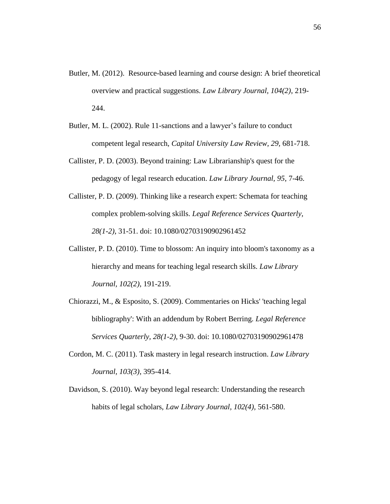- Butler, M. (2012). Resource-based learning and course design: A brief theoretical overview and practical suggestions. *Law Library Journal, 104(2)*, 219- 244.
- Butler, M. L. (2002). Rule 11-sanctions and a lawyer's failure to conduct competent legal research, *Capital University Law Review, 29,* 681-718.
- Callister, P. D. (2003). Beyond training: Law Librarianship's quest for the pedagogy of legal research education. *Law Library Journal, 95*, 7-46.
- Callister, P. D. (2009). Thinking like a research expert: Schemata for teaching complex problem-solving skills. *Legal Reference Services Quarterly, 28(1-2)*, 31-51. doi: 10.1080/02703190902961452
- Callister, P. D. (2010). Time to blossom: An inquiry into bloom's taxonomy as a hierarchy and means for teaching legal research skills. *Law Library Journal, 102(2)*, 191-219.
- Chiorazzi, M., & Esposito, S. (2009). Commentaries on Hicks' 'teaching legal bibliography': With an addendum by Robert Berring. *Legal Reference Services Quarterly, 28(1-2)*, 9-30. doi: 10.1080/02703190902961478
- Cordon, M. C. (2011). Task mastery in legal research instruction. *Law Library Journal, 103(3)*, 395-414.
- Davidson, S. (2010). Way beyond legal research: Understanding the research habits of legal scholars, *Law Library Journal, 102(4),* 561-580.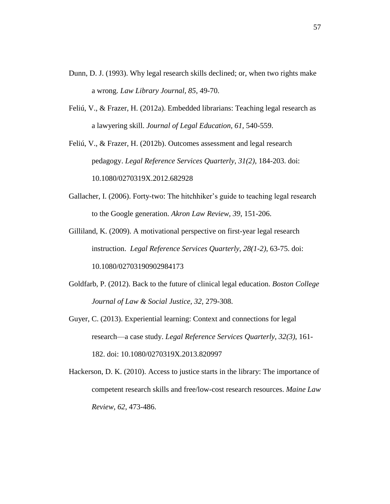- Dunn, D. J. (1993). Why legal research skills declined; or, when two rights make a wrong. *Law Library Journal, 85*, 49-70.
- Feliú, V., & Frazer, H. (2012a). Embedded librarians: Teaching legal research as a lawyering skill. *Journal of Legal Education, 61,* 540-559.

Feliú, V., & Frazer, H. (2012b). Outcomes assessment and legal research pedagogy. *Legal Reference Services Quarterly*, *31(2)*, 184-203. doi: 10.1080/0270319X.2012.682928

- Gallacher, I. (2006). Forty-two: The hitchhiker's guide to teaching legal research to the Google generation. *Akron Law Review, 39*, 151-206.
- Gilliland, K. (2009). A motivational perspective on first-year legal research instruction. *Legal Reference Services Quarterly*, *28(1-2)*, 63-75. doi: 10.1080/02703190902984173
- Goldfarb, P. (2012). Back to the future of clinical legal education. *Boston College Journal of Law & Social Justice, 32,* 279-308.
- Guyer, C. (2013). Experiential learning: Context and connections for legal research—a case study. *Legal Reference Services Quarterly*, *32(3)*, 161- 182. doi: 10.1080/0270319X.2013.820997
- Hackerson, D. K. (2010). Access to justice starts in the library: The importance of competent research skills and free/low-cost research resources. *Maine Law Review, 62*, 473-486.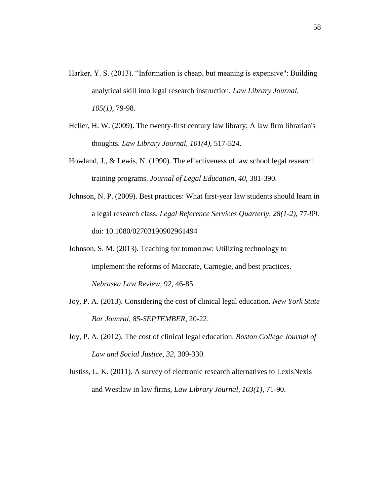- Harker, Y. S. (2013). "Information is cheap, but meaning is expensive": Building analytical skill into legal research instruction. *Law Library Journal, 105(1)*, 79-98.
- Heller, H. W. (2009). The twenty-first century law library: A law firm librarian's thoughts. *Law Library Journal, 101(4),* 517-524.
- Howland, J., & Lewis, N. (1990). The effectiveness of law school legal research training programs. *Journal of Legal Education, 40*, 381-390.
- Johnson, N. P. (2009). Best practices: What first-year law students should learn in a legal research class. *Legal Reference Services Quarterly, 28(1-2)*, 77-99. doi: 10.1080/02703190902961494
- Johnson, S. M. (2013). Teaching for tomorrow: Utilizing technology to implement the reforms of Maccrate, Carnegie, and best practices. *Nebraska Law Review, 92,* 46-85.
- Joy, P. A. (2013). Considering the cost of clinical legal education. *New York State Bar Jounral, 85-SEPTEMBER*, 20-22.
- Joy, P. A. (2012). The cost of clinical legal education. *Boston College Journal of Law and Social Justice, 32,* 309-330.
- Justiss, L. K. (2011). A survey of electronic research alternatives to LexisNexis and Westlaw in law firms, *Law Library Journal, 103(1)*, 71-90.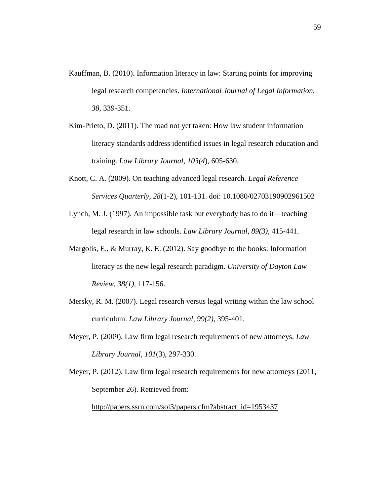- Kauffman, B. (2010). Information literacy in law: Starting points for improving legal research competencies. *International Journal of Legal Information, 38,* 339-351.
- Kim-Prieto, D. (2011). The road not yet taken: How law student information literacy standards address identified issues in legal research education and training. *Law Library Journal, 103(4*), 605-630.
- Knott, C. A. (2009). On teaching advanced legal research. *Legal Reference Services Quarterly, 28*(1-2), 101-131. doi: 10.1080/02703190902961502
- Lynch, M. J. (1997). An impossible task but everybody has to do it—teaching legal research in law schools. *Law Library Journal, 89(3)*, 415-441.
- Margolis, E., & Murray, K. E. (2012). Say goodbye to the books: Information literacy as the new legal research paradigm. *University of Dayton Law Review, 38(1),* 117-156.
- Mersky, R. M. (2007). Legal research versus legal writing within the law school curriculum. *Law Library Journal, 99(2)*, 395-401.
- Meyer, P. (2009). Law firm legal research requirements of new attorneys. *Law Library Journal, 101*(3), 297-330.

Meyer, P. (2012). Law firm legal research requirements for new attorneys (2011, September 26). Retrieved from:

[http://papers.ssrn.com/sol3/papers.cfm?abstract\\_id=1953437](http://papers.ssrn.com/sol3/papers.cfm?abstract_id=1953437)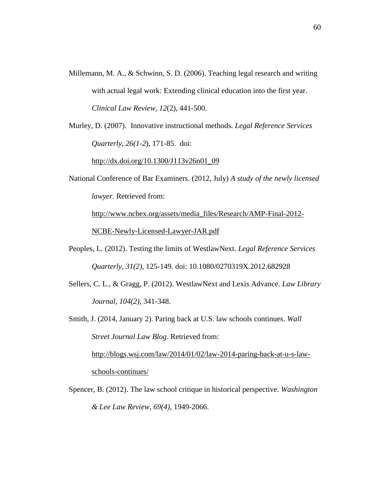- Millemann, M. A., & Schwinn, S. D. (2006). Teaching legal research and writing with actual legal work: Extending clinical education into the first year. *Clinical Law Review, 12*(2), 441-500.
- Murley, D. (2007). Innovative instructional methods. *Legal Reference Services Quarterly, 26(1-2*), 171-85. doi:

[http://dx.doi.org/10.1300/J113v26n01\\_09](http://dx.doi.org/10.1300/J113v26n01_09)

National Conference of Bar Examiners. (2012, July) *A study of the newly licensed lawyer.* Retrieved from:

[http://www.ncbex.org/assets/media\\_files/Research/AMP-Final-2012-](http://www.ncbex.org/assets/media_files/Research/AMP-Final-2012-NCBE-Newly-Licensed-Lawyer-JAR.pdf) [NCBE-Newly-Licensed-Lawyer-JAR.pdf](http://www.ncbex.org/assets/media_files/Research/AMP-Final-2012-NCBE-Newly-Licensed-Lawyer-JAR.pdf)

- Peoples, L. (2012). Testing the limits of WestlawNext. *Legal Reference Services Quarterly, 31(2),* 125-149. doi: 10.1080/0270319X.2012.682928
- Sellers, C. L., & Gragg, P. (2012). WestlawNext and Lexis Advance. *Law Library Journal, 104(2),* 341-348.
- Smith, J. (2014, January 2). Paring back at U.S. law schools continues. *Wall Street Journal Law Blog*. Retrieved from:

[http://blogs.wsj.com/law/2014/01/02/law-2014-paring-back-at-u-s-law](http://blogs.wsj.com/law/2014/01/02/law-2014-paring-back-at-u-s-law-schools-continues/)[schools-continues/](http://blogs.wsj.com/law/2014/01/02/law-2014-paring-back-at-u-s-law-schools-continues/) 

Spencer, B. (2012). The law school critique in historical perspective. *Washington & Lee Law Review, 69(4)*, 1949-2066.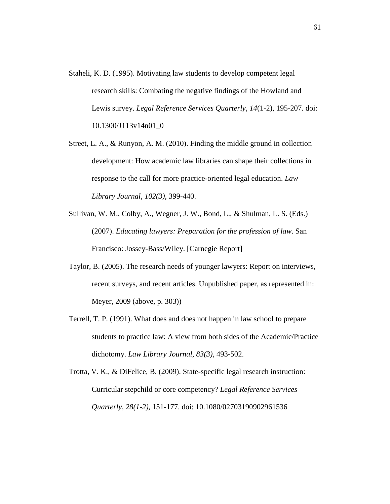- Staheli, K. D. (1995). Motivating law students to develop competent legal research skills: Combating the negative findings of the Howland and Lewis survey. *Legal Reference Services Quarterly, 14*(1-2), 195-207. doi: 10.1300/J113v14n01\_0
- Street, L. A., & Runyon, A. M. (2010). Finding the middle ground in collection development: How academic law libraries can shape their collections in response to the call for more practice-oriented legal education. *Law Library Journal, 102(3),* 399-440.
- Sullivan, W. M., Colby, A., Wegner, J. W., Bond, L., & Shulman, L. S. (Eds.) (2007). *Educating lawyers: Preparation for the profession of law*. San Francisco: Jossey-Bass/Wiley. [Carnegie Report]
- Taylor, B. (2005). The research needs of younger lawyers: Report on interviews, recent surveys, and recent articles. Unpublished paper, as represented in: Meyer, 2009 (above, p. 303))
- Terrell, T. P. (1991). What does and does not happen in law school to prepare students to practice law: A view from both sides of the Academic/Practice dichotomy. *Law Library Journal, 83(3)*, 493-502.
- Trotta, V. K., & DiFelice, B. (2009). State-specific legal research instruction: Curricular stepchild or core competency? *Legal Reference Services Quarterly, 28(1-2)*, 151-177. doi: 10.1080/02703190902961536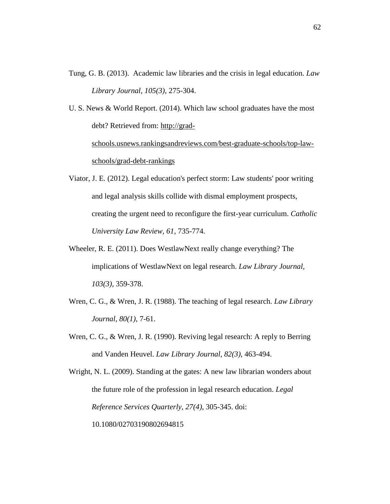Tung, G. B. (2013). Academic law libraries and the crisis in legal education. *Law Library Journal, 105(3)*, 275-304.

U. S. News & World Report. (2014). Which law school graduates have the most debt? Retrieved from: [http://grad](http://grad-schools.usnews.rankingsandreviews.com/best-graduate-schools/top-law-schools/grad-debt-rankings)[schools.usnews.rankingsandreviews.com/best-graduate-schools/top-law-](http://grad-schools.usnews.rankingsandreviews.com/best-graduate-schools/top-law-schools/grad-debt-rankings)

[schools/grad-debt-rankings](http://grad-schools.usnews.rankingsandreviews.com/best-graduate-schools/top-law-schools/grad-debt-rankings)

- Viator, J. E. (2012). Legal education's perfect storm: Law students' poor writing and legal analysis skills collide with dismal employment prospects, creating the urgent need to reconfigure the first-year curriculum. *Catholic University Law Review, 61*, 735-774.
- Wheeler, R. E. (2011). Does WestlawNext really change everything? The implications of WestlawNext on legal research. *Law Library Journal, 103(3)*, 359-378.
- Wren, C. G., & Wren, J. R. (1988). The teaching of legal research. *Law Library Journal, 80(1)*, 7-61.
- Wren, C. G., & Wren, J. R. (1990). Reviving legal research: A reply to Berring and Vanden Heuvel. *Law Library Journal, 82(3)*, 463-494.

Wright, N. L. (2009). Standing at the gates: A new law librarian wonders about the future role of the profession in legal research education. *Legal Reference Services Quarterly, 27(4)*, 305-345. doi: 10.1080/02703190802694815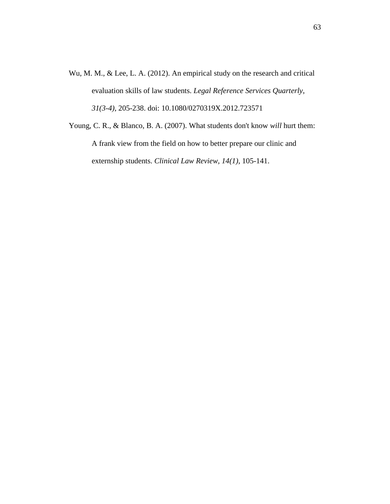Wu, M. M., & Lee, L. A. (2012). An empirical study on the research and critical evaluation skills of law students. *Legal Reference Services Quarterly*, *31(3-4)*, 205-238. doi: 10.1080/0270319X.2012.723571

Young, C. R., & Blanco, B. A. (2007). What students don't know *will* hurt them: A frank view from the field on how to better prepare our clinic and externship students. *Clinical Law Review, 14(1)*, 105-141.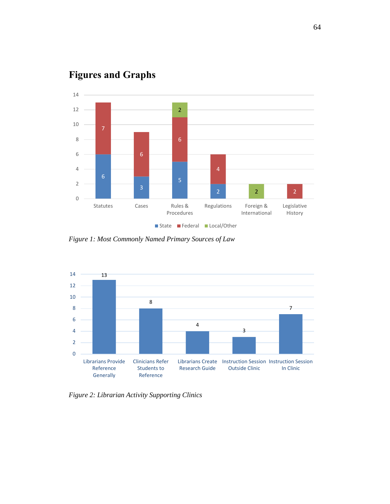

# <span id="page-65-0"></span>**Figures and Graphs**

*Figure 1: Most Commonly Named Primary Sources of Law*



*Figure 2: Librarian Activity Supporting Clinics*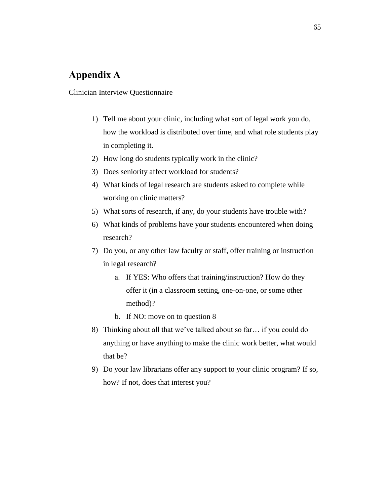# <span id="page-66-0"></span>**Appendix A**

## Clinician Interview Questionnaire

- 1) Tell me about your clinic, including what sort of legal work you do, how the workload is distributed over time, and what role students play in completing it.
- 2) How long do students typically work in the clinic?
- 3) Does seniority affect workload for students?
- 4) What kinds of legal research are students asked to complete while working on clinic matters?
- 5) What sorts of research, if any, do your students have trouble with?
- 6) What kinds of problems have your students encountered when doing research?
- 7) Do you, or any other law faculty or staff, offer training or instruction in legal research?
	- a. If YES: Who offers that training/instruction? How do they offer it (in a classroom setting, one-on-one, or some other method)?
	- b. If NO: move on to question 8
- 8) Thinking about all that we've talked about so far… if you could do anything or have anything to make the clinic work better, what would that be?
- 9) Do your law librarians offer any support to your clinic program? If so, how? If not, does that interest you?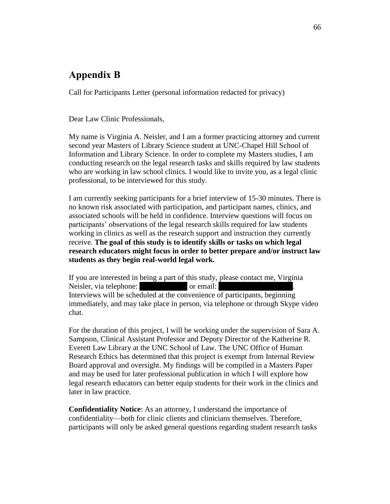# <span id="page-67-0"></span>**Appendix B**

Call for Participants Letter (personal information redacted for privacy)

Dear Law Clinic Professionals,

My name is Virginia A. Neisler, and I am a former practicing attorney and current second year Masters of Library Science student at UNC-Chapel Hill School of Information and Library Science. In order to complete my Masters studies, I am conducting research on the legal research tasks and skills required by law students who are working in law school clinics. I would like to invite you, as a legal clinic professional, to be interviewed for this study.

I am currently seeking participants for a brief interview of 15-30 minutes. There is no known risk associated with participation, and participant names, clinics, and associated schools will be held in confidence. Interview questions will focus on participants' observations of the legal research skills required for law students working in clinics as well as the research support and instruction they currently receive. **The goal of this study is to identify skills or tasks on which legal research educators might focus in order to better prepare and/or instruct law students as they begin real-world legal work.**

If you are interested in being a part of this study, please contact me, Virginia Neisler, via telephone: (704) or email: Interviews will be scheduled at the convenience of participants, beginning immediately, and may take place in person, via telephone or through Skype video chat.

For the duration of this project, I will be working under the supervision of Sara A. Sampson, Clinical Assistant Professor and Deputy Director of the Katherine R. Everett Law Library at the UNC School of Law. The UNC Office of Human Research Ethics has determined that this project is exempt from Internal Review Board approval and oversight. My findings will be compiled in a Masters Paper and may be used for later professional publication in which I will explore how legal research educators can better equip students for their work in the clinics and later in law practice.

**Confidentiality Notice**: As an attorney, I understand the importance of confidentiality—both for clinic clients and clinicians themselves. Therefore, participants will only be asked general questions regarding student research tasks